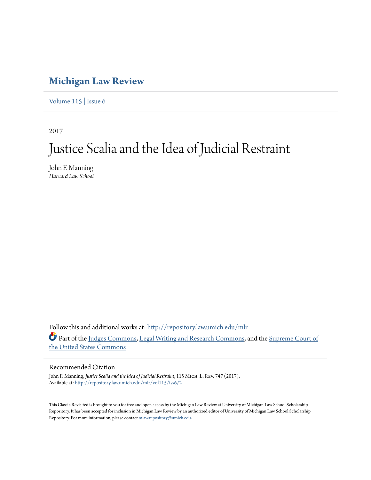## **[Michigan Law Review](http://repository.law.umich.edu/mlr?utm_source=repository.law.umich.edu%2Fmlr%2Fvol115%2Fiss6%2F2&utm_medium=PDF&utm_campaign=PDFCoverPages)**

[Volume 115](http://repository.law.umich.edu/mlr/vol115?utm_source=repository.law.umich.edu%2Fmlr%2Fvol115%2Fiss6%2F2&utm_medium=PDF&utm_campaign=PDFCoverPages) | [Issue 6](http://repository.law.umich.edu/mlr/vol115/iss6?utm_source=repository.law.umich.edu%2Fmlr%2Fvol115%2Fiss6%2F2&utm_medium=PDF&utm_campaign=PDFCoverPages)

2017

# Justice Scalia and the Idea of Judicial Restraint

John F. Manning *Harvard Law School*

Follow this and additional works at: [http://repository.law.umich.edu/mlr](http://repository.law.umich.edu/mlr?utm_source=repository.law.umich.edu%2Fmlr%2Fvol115%2Fiss6%2F2&utm_medium=PDF&utm_campaign=PDFCoverPages) Part of the [Judges Commons](http://network.bepress.com/hgg/discipline/849?utm_source=repository.law.umich.edu%2Fmlr%2Fvol115%2Fiss6%2F2&utm_medium=PDF&utm_campaign=PDFCoverPages), [Legal Writing and Research Commons,](http://network.bepress.com/hgg/discipline/614?utm_source=repository.law.umich.edu%2Fmlr%2Fvol115%2Fiss6%2F2&utm_medium=PDF&utm_campaign=PDFCoverPages) and the [Supreme Court of](http://network.bepress.com/hgg/discipline/1350?utm_source=repository.law.umich.edu%2Fmlr%2Fvol115%2Fiss6%2F2&utm_medium=PDF&utm_campaign=PDFCoverPages) [the United States Commons](http://network.bepress.com/hgg/discipline/1350?utm_source=repository.law.umich.edu%2Fmlr%2Fvol115%2Fiss6%2F2&utm_medium=PDF&utm_campaign=PDFCoverPages)

### Recommended Citation

John F. Manning, *Justice Scalia and the Idea of Judicial Restraint*, 115 Mich. L. Rev. 747 (2017). Available at: [http://repository.law.umich.edu/mlr/vol115/iss6/2](http://repository.law.umich.edu/mlr/vol115/iss6/2?utm_source=repository.law.umich.edu%2Fmlr%2Fvol115%2Fiss6%2F2&utm_medium=PDF&utm_campaign=PDFCoverPages)

This Classic Revisited is brought to you for free and open access by the Michigan Law Review at University of Michigan Law School Scholarship Repository. It has been accepted for inclusion in Michigan Law Review by an authorized editor of University of Michigan Law School Scholarship Repository. For more information, please contact [mlaw.repository@umich.edu](mailto:mlaw.repository@umich.edu).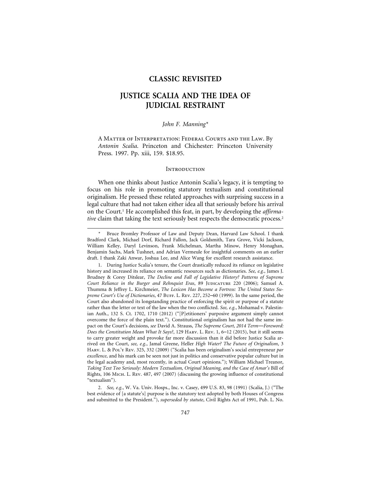### **CLASSIC REVISITED**

### **JUSTICE SCALIA AND THE IDEA OF JUDICIAL RESTRAINT**

### *John F. Manning\**

A Matter of Interpretation: Federal Courts and the Law. By *Antonin Scalia*. Princeton and Chichester: Princeton University Press. 1997. Pp. xiii, 159. \$18.95.

### **INTRODUCTION**

When one thinks about Justice Antonin Scalia's legacy, it is tempting to focus on his role in promoting statutory textualism and constitutional originalism. He pressed these related approaches with surprising success in a legal culture that had not taken either idea all that seriously before his arrival on the Court.1 He accomplished this feat, in part, by developing the *affirmative* claim that taking the text seriously best respects the democratic process.<sup>2</sup>

2. *See, e.g.*, W. Va. Univ. Hosps., Inc. v. Casey, 499 U.S. 83, 98 (1991) (Scalia, J.) ("The best evidence of [a statute's] purpose is the statutory text adopted by both Houses of Congress and submitted to the President."), *superseded by statute*, Civil Rights Act of 1991, Pub. L. No.

Bruce Bromley Professor of Law and Deputy Dean, Harvard Law School. I thank Bradford Clark, Michael Dorf, Richard Fallon, Jack Goldsmith, Tara Grove, Vicki Jackson, William Kelley, Daryl Levinson, Frank Michelman, Martha Minow, Henry Monaghan, Benjamin Sachs, Mark Tushnet, and Adrian Vermeule for insightful comments on an earlier draft. I thank Zaki Anwar, Joshua Lee, and Alice Wang for excellent research assistance.

<sup>1.</sup> During Justice Scalia's tenure, the Court drastically reduced its reliance on legislative history and increased its reliance on semantic resources such as dictionaries. *See, e.g.*, James J. Brudney & Corey Ditslear, *The Decline and Fall of Legislative History? Patterns of Supreme Court Reliance in the Burger and Rehnquist Eras*, 89 JUDICATURE 220 (2006); Samuel A. Thumma & Jeffrey L. Kirchmeier, *The Lexicon Has Become a Fortress: The United States Supreme Court's Use of Dictionaries*, 47 BuFF. L. REV. 227, 252-60 (1999). In the same period, the Court also abandoned its longstanding practice of enforcing the spirit or purpose of a statute rather than the letter or text of the law when the two conflicted. *See, e.g.*, Mohamad v. Palestinian Auth., 132 S. Ct. 1702, 1710 (2012) ("[P]etitioners' purposive argument simply cannot overcome the force of the plain text."). Constitutional originalism has not had the same impact on the Court's decisions, *see* David A. Strauss, *The Supreme Court, 2014 Term*—*Foreword: Does the Constitution Mean What It Says?*, 129 Harv. L. Rev. 1, 6–12 (2015), but it still seems to carry greater weight and provoke far more discussion than it did before Justice Scalia arrived on the Court, *see, e.g.*, Jamal Greene, Heller *High Water? The Future of Originalism*, 3 Harv. L. & Pol'y Rev. 325, 332 (2009) ("Scalia has been originalism's social entrepreneur *par excellence*, and his mark can be seen not just in politics and conservative popular culture but in the legal academy and, most recently, in actual Court opinions."); William Michael Treanor, *Taking Text Too Seriously: Modern Textualism, Original Meaning, and the Case of Amar's* Bill of Rights, 106 Mich. L. Rev. 487, 497 (2007) (discussing the growing influence of constitutional "textualism").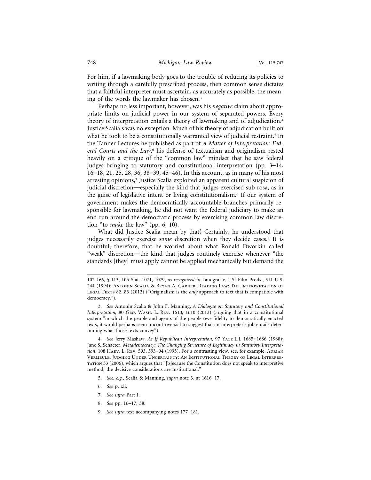For him, if a lawmaking body goes to the trouble of reducing its policies to writing through a carefully prescribed process, then common sense dictates that a faithful interpreter must ascertain, as accurately as possible, the meaning of the words the lawmaker has chosen.3

Perhaps no less important, however, was his *negative* claim about appropriate limits on judicial power in our system of separated powers. Every theory of interpretation entails a theory of lawmaking and of adjudication.4 Justice Scalia's was no exception. Much of his theory of adjudication built on what he took to be a constitutionally warranted view of judicial restraint.<sup>5</sup> In the Tanner Lectures he published as part of *A Matter of Interpretation: Federal Courts and the Law*, 6 his defense of textualism and originalism rested heavily on a critique of the "common law" mindset that he saw federal judges bringing to statutory and constitutional interpretation (pp. 3–14, 16–18, 21, 25, 28, 36, 38–39, 45–46). In this account, as in many of his most arresting opinions,7 Justice Scalia exploited an apparent cultural suspicion of judicial discretion—especially the kind that judges exercised sub rosa, as in the guise of legislative intent or living constitutionalism.8 If our system of government makes the democratically accountable branches primarily responsible for lawmaking, he did not want the federal judiciary to make an end run around the democratic process by exercising common law discretion "to *make* the law" (pp. 6, 10).

What did Justice Scalia mean by that? Certainly, he understood that judges necessarily exercise *some* discretion when they decide cases.9 It is doubtful, therefore, that he worried about what Ronald Dworkin called "weak" discretion—the kind that judges routinely exercise whenever "the standards [they] must apply cannot be applied mechanically but demand the

- 5. *See, e.g.*, Scalia & Manning, *supra* note 3, at 1616–17.
- 6. *See* p. xii.
- 7. *See infra* Part I.
- 8. *See* pp. 16–17, 38.
- 9. *See infra* text accompanying notes 177–181.

<sup>102-166, § 113, 105</sup> Stat. 1071, 1079, *as recognized in* Landgraf v. USI Film Prods., 511 U.S. 244 (1994); Antonin Scalia & Bryan A. Garner, Reading Law: The Interpretation of Legal Texts 82–83 (2012) ("Originalism is the *only* approach to text that is compatible with democracy.").

<sup>3.</sup> *See* Antonin Scalia & John F. Manning, *A Dialogue on Statutory and Constitutional Interpretation*, 80 Geo. Wash. L. Rev. 1610, 1610 (2012) (arguing that in a constitutional system "in which the people and agents of the people owe fidelity to democratically enacted texts, it would perhaps seem uncontroversial to suggest that an interpreter's job entails determining what those texts convey").

<sup>4.</sup> *See* Jerry Mashaw, *As If Republican Interpretation*, 97 Yale L.J. 1685, 1686 (1988); Jane S. Schacter, *Metademocracy: The Changing Structure of Legitimacy in Statutory Interpreta*tion, 108 HARV. L. REV. 593, 593-94 (1995). For a contrasting view, see, for example, ADRIAN Vermeule, Judging Under Uncertainty: An Institutional Theory of Legal Interpretation 33 (2006), which argues that "[b]ecause the Constitution does not speak to interpretive method, the decisive considerations are institutional."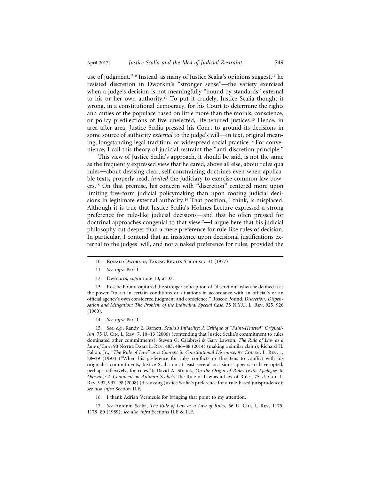use of judgment."<sup>10</sup> Instead, as many of Justice Scalia's opinions suggest,<sup>11</sup> he resisted discretion in Dworkin's "stronger sense"—the variety exercised when a judge's decision is not meaningfully "bound by standards" external to his or her own authority.12 To put it crudely, Justice Scalia thought it wrong, in a constitutional democracy, for his Court to determine the rights and duties of the populace based on little more than the morals, conscience, or policy predilections of five unelected, life-tenured justices.13 Hence, in area after area, Justice Scalia pressed his Court to ground its decisions in some source of authority *external* to the judge's will—in text, original meaning, longstanding legal tradition, or widespread social practice.14 For convenience, I call this theory of judicial restraint the "anti-discretion principle."

This view of Justice Scalia's approach, it should be said, is not the same as the frequently expressed view that he cared, above all else, about rules qua rules—about devising clear, self-constraining doctrines even when applicable texts, properly read, *invited* the judiciary to exercise common law powers.15 On that premise, his concern with "discretion" centered more upon limiting free-form judicial policymaking than upon rooting judicial decisions in legitimate external authority.16 That position, I think, is misplaced. Although it is true that Justice Scalia's Holmes Lecture expressed a strong preference for rule-like judicial decisions—and that he often pressed for doctrinal approaches congenial to that view<sup>17</sup>—I argue here that his judicial philosophy cut deeper than a mere preference for rule-like rules of decision. In particular, I contend that an insistence upon decisional justifications external to the judges' will, and not a naked preference for rules, provided the

- 10. Ronald Dworkin, Taking Rights Seriously 31 (1977)
- 11. *See infra* Part I.
- 12. Dworkin*, supra* note 10, at 32.

13. Roscoe Pound captured the stronger conception of "discretion" when he defined it as the power "to act in certain conditions or situations in accordance with an official's or an official agency's own considered judgment and conscience." Roscoe Pound, *Discretion, Dispensation and Mitigation: The Problem of the Individual Special Case*, 35 N.Y.U. L. Rev. 925, 926 (1960).

14. *See infra* Part I.

15. *See, e.g.*, Randy E. Barnett, *Scalia's Infidelity: A Critique of "Faint-Hearted" Originalism*, 75 U. Cin. L. Rev. 7, 10–13 (2006) (contending that Justice Scalia's commitment to rules dominated other commitments); Steven G. Calabresi & Gary Lawson, *The Rule of Law as a Law of Law*, 90 Notre Dame L. Rev. 483, 486–88 (2014) (making a similar claim); Richard H. Fallon, Jr., *"The Rule of Law" as a Concept in Constitutional Discourse*, 97 Colum. L. Rev. 1, 28–29 (1997) ("When his preference for rules conflicts or threatens to conflict with his originalist commitments, Justice Scalia on at least several occasions appears to have opted, perhaps reflexively, for rules."); David A. Strauss, *On the Origin of Rules (with Apologies to Darwin): A Comment on Antonin Scalia's* The Rule of Law as a Law of Rules, 75 U. Chi. L. Rev. 997, 997–98 (2008) (discussing Justice Scalia's preference for a rule-based jurisprudence); *see also infra* Section II.F.

16. I thank Adrian Vermeule for bringing that point to my attention.

17. *See* Antonin Scalia, *The Rule of Law as a Law of Rules*, 56 U. Chi. L. Rev. 1175, 1178–80 (1989); *see also infra* Sections II.E & II.F.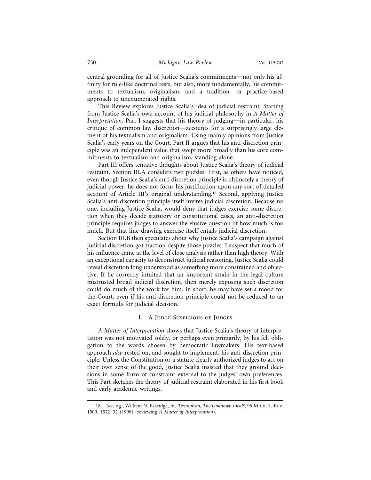central grounding for all of Justice Scalia's commitments—not only his affinity for rule-like doctrinal tests, but also, more fundamentally, his commitments to textualism, originalism, and a tradition- or practice-based approach to unenumerated rights.

This Review explores Justice Scalia's idea of judicial restraint. Starting from Justice Scalia's own account of his judicial philosophy in *A Matter of Interpretation*, Part I suggests that his theory of judging—in particular, his critique of common law discretion—accounts for a surprisingly large element of his textualism and originalism. Using mainly opinions from Justice Scalia's early years on the Court, Part II argues that his anti-discretion principle was an independent value that swept more broadly than his core commitments to textualism and originalism, standing alone.

Part III offers tentative thoughts about Justice Scalia's theory of judicial restraint. Section III.A considers two puzzles. First, as others have noticed, even though Justice Scalia's anti-discretion principle is ultimately a theory of judicial power, he does not focus his justification upon any sort of detailed account of Article III's original understanding.18 Second, applying Justice Scalia's anti-discretion principle itself invites judicial discretion. Because no one, including Justice Scalia, would deny that judges exercise some discretion when they decide statutory or constitutional cases, an anti-discretion principle requires judges to answer the elusive question of how much is too much. But that line-drawing exercise itself entails judicial discretion.

Section III.B then speculates about why Justice Scalia's campaign against judicial discretion got traction despite those puzzles. I suspect that much of his influence came at the level of close analysis rather than high theory. With an exceptional capacity to deconstruct judicial reasoning, Justice Scalia could reveal discretion long understood as something more constrained and objective. If he correctly intuited that an important strain in the legal culture mistrusted broad judicial discretion, then merely exposing such discretion could do much of the work for him. In short, he may have set a mood for the Court, even if his anti-discretion principle could not be reduced to an exact formula for judicial decision.

### I. A JUDGE SUSPICIOUS OF JUDGES

*A Matter of Interpretation* shows that Justice Scalia's theory of interpretation was not motivated solely, or perhaps even primarily, by his felt obligation to the words chosen by democratic lawmakers. His text-based approach *also* rested on, and sought to implement, his anti-discretion principle. Unless the Constitution or a statute clearly authorized judges to act on their own sense of the good, Justice Scalia insisted that they ground decisions in some form of constraint external to the judges' own preferences. This Part sketches the theory of judicial restraint elaborated in his first book and early academic writings.

<sup>18.</sup> *See, e.g.*, William N. Eskridge, Jr., *Textualism, The Unknown Ideal?*, 96 Mich. L. Rev. 1509, 1522–32 (1998) (reviewing *A Matter of Interpretation*).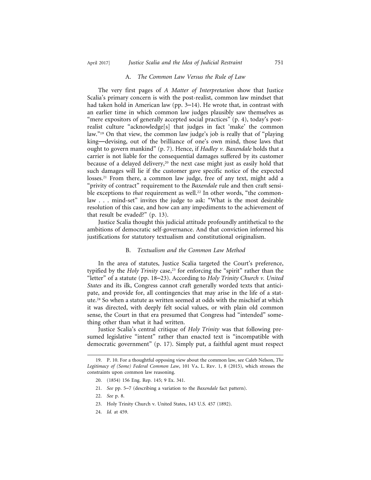#### A. *The Common Law Versus the Rule of Law*

The very first pages of *A Matter of Interpretation* show that Justice Scalia's primary concern is with the post-realist, common law mindset that had taken hold in American law (pp. 3–14). He wrote that, in contrast with an earlier time in which common law judges plausibly saw themselves as "mere expositors of generally accepted social practices" (p. 4), today's postrealist culture "acknowledge[s] that judges in fact 'make' the common law."19 On that view, the common law judge's job is really that of "playing king—devising, out of the brilliance of one's own mind, those laws that ought to govern mankind" (p. 7). Hence, if *Hadley v. Baxendale* holds that a carrier is not liable for the consequential damages suffered by its customer because of a delayed delivery,<sup>20</sup> the next case might just as easily hold that such damages will lie if the customer gave specific notice of the expected losses.<sup>21</sup> From there, a common law judge, free of any text, might add a "privity of contract" requirement to the *Baxendale* rule and then craft sensible exceptions to *that* requirement as well.<sup>22</sup> In other words, "the commonlaw . . . mind-set" invites the judge to ask: "What is the most desirable resolution of this case, and how can any impediments to the achievement of that result be evaded?" (p. 13).

Justice Scalia thought this judicial attitude profoundly antithetical to the ambitions of democratic self-governance. And that conviction informed his justifications for statutory textualism and constitutional originalism.

### B. *Textualism and the Common Law Method*

In the area of statutes, Justice Scalia targeted the Court's preference, typified by the *Holy Trinity* case,<sup>23</sup> for enforcing the "spirit" rather than the "letter" of a statute (pp. 18–23). According to *Holy Trinity Church v. United States* and its ilk, Congress cannot craft generally worded texts that anticipate, and provide for, all contingencies that may arise in the life of a statute.24 So when a statute as written seemed at odds with the mischief at which it was directed, with deeply felt social values, or with plain old common sense, the Court in that era presumed that Congress had "intended" something other than what it had written.

Justice Scalia's central critique of *Holy Trinity* was that following presumed legislative "intent" rather than enacted text is "incompatible with democratic government" (p. 17). Simply put, a faithful agent must respect

- 21. *See* pp. 5–7 (describing a variation to the *Baxendale* fact pattern).
- 22. *See* p. 8.
- 23. Holy Trinity Church v. United States, 143 U.S. 457 (1892).
- 24. *Id.* at 459.

<sup>19.</sup> P. 10. For a thoughtful opposing view about the common law, see Caleb Nelson, *The Legitimacy of (Some) Federal Common Law*, 101 Va. L. Rev. 1, 8 (2015), which stresses the constraints upon common law reasoning.

<sup>20. (1854) 156</sup> Eng. Rep. 145; 9 Ex. 341.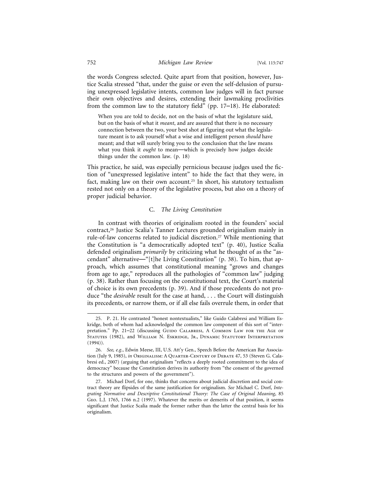the words Congress selected. Quite apart from that position, however, Justice Scalia stressed "that, under the guise or even the self-delusion of pursuing unexpressed legislative intents, common law judges will in fact pursue their own objectives and desires, extending their lawmaking proclivities from the common law to the statutory field" (pp. 17-18). He elaborated:

When you are told to decide, not on the basis of what the legislature said, but on the basis of what it *meant*, and are assured that there is no necessary connection between the two, your best shot at figuring out what the legislature meant is to ask yourself what a wise and intelligent person *should* have meant; and that will surely bring you to the conclusion that the law means what you think it *ought* to mean—which is precisely how judges decide things under the common law. (p. 18)

This practice, he said, was especially pernicious because judges used the fiction of "unexpressed legislative intent" to hide the fact that they were, in fact, making law on their own account.<sup>25</sup> In short, his statutory textualism rested not only on a theory of the legislative process, but also on a theory of proper judicial behavior.

### C. *The Living Constitution*

In contrast with theories of originalism rooted in the founders' social contract,26 Justice Scalia's Tanner Lectures grounded originalism mainly in rule-of-law concerns related to judicial discretion.27 While mentioning that the Constitution is "a democratically adopted text" (p. 40), Justice Scalia defended originalism *primarily* by criticizing what he thought of as the "ascendant" alternative—"[t]he Living Constitution" (p. 38). To him, that approach, which assumes that constitutional meaning "grows and changes from age to age," reproduces all the pathologies of "common law" judging (p. 38). Rather than focusing on the constitutional text, the Court's material of choice is its own precedents (p. 39). And if those precedents do not produce "the *desirable* result for the case at hand, . . . the Court will distinguish its precedents, or narrow them, or if all else fails overrule them, in order that

<sup>25.</sup> P. 21. He contrasted "honest nontextualists," like Guido Calabresi and William Eskridge, both of whom had acknowledged the common law component of this sort of "interpretation." Pp. 21-22 (discussing GUIDO CALABRESI, A COMMON LAW FOR THE AGE OF STATUTES (1982), and WILLIAM N. ESKRIDGE, JR., DYNAMIC STATUTORY INTERPRETATION (1994)).

<sup>26.</sup> *See, e.g.*, Edwin Meese, III, U.S. Att'y Gen., Speech Before the American Bar Association (July 9, 1985), *in* Originalism: A Quarter-Century of Debate 47, 53 (Steven G. Calabresi ed., 2007) (arguing that originalism "reflects a deeply rooted commitment to the idea of democracy" because the Constitution derives its authority from "the consent of the governed to the structures and powers of the government").

<sup>27.</sup> Michael Dorf, for one, thinks that concerns about judicial discretion and social contract theory are flipsides of the same justification for originalism. *See* Michael C. Dorf, *Integrating Normative and Descriptive Constitutional Theory: The Case of Original Meaning*, 85 Geo. L.J. 1765, 1766 n.2 (1997). Whatever the merits or demerits of that position, it seems significant that Justice Scalia made the former rather than the latter the central basis for his originalism.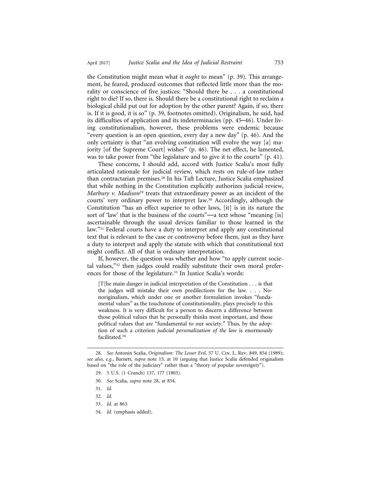the Constitution might mean what it *ought* to mean" (p. 39). This arrangement, he feared, produced outcomes that reflected little more than the morality or conscience of five justices: "Should there be . . . a constitutional right to die? If so, there is. Should there be a constitutional right to reclaim a biological child put out for adoption by the other parent? Again, if so, there is. If it is good, it is so" (p. 39, footnotes omitted). Originalism, he said, had its difficulties of application and its indeterminacies (pp. 45–46). Under living constitutionalism, however, these problems were endemic because "every question is an open question, every day a new day" (p. 46). And the only certainty is that "an evolving constitution will evolve the way [a] majority [of the Supreme Court] wishes" (p. 46). The net effect, he lamented, was to take power from "the legislature and to give it to the courts" (p. 41).

These concerns, I should add, accord with Justice Scalia's most fully articulated rationale for judicial review, which rests on rule-of-law rather than contractarian premises.28 In his Taft Lecture, Justice Scalia emphasized that while nothing in the Constitution explicitly authorizes judicial review, *Marbury v. Madison*<sup>29</sup> treats that extraordinary power as an incident of the courts' very ordinary power to interpret law.30 Accordingly, although the Constitution "has an effect superior to other laws, [it] is in its nature the sort of 'law' that is the business of the courts"—a text whose "meaning [is] ascertainable through the usual devices familiar to those learned in the law."<sup>31</sup> Federal courts have a duty to interpret and apply any constitutional text that is relevant to the case or controversy before them, just as they have a duty to interpret and apply the statute with which that constitutional text might conflict. All of that is ordinary interpretation.

If, however, the question was whether and how "to apply current societal values,"32 then judges could readily substitute their own moral preferences for those of the legislature.<sup>33</sup> In Justice Scalia's words:

[T]he main danger in judicial interpretation of the Constitution . . . is that the judges will mistake their own predilections for the law. . . . Nonoriginalism, which under one or another formulation invokes "fundamental values" as the touchstone of constitutionality, plays precisely to this weakness. It is very difficult for a person to discern a difference between those political values that he personally thinks most important, and those political values that are "fundamental to our society." Thus, by the adoption of such a criterion *judicial personalization of the law* is enormously facilitated.34

- 33. *Id.* at 863.
- 34. *Id.* (emphasis added).

<sup>28.</sup> *See* Antonin Scalia, *Originalism: The Lesser Evil*, 57 U. Cin. L. Rev. 849, 854 (1989); *see also, e.g.*, Barnett, *supra* note 15, at 10 (arguing that Justice Scalia defended originalism based on "the role of the judiciary" rather than a "theory of popular sovereignty").

<sup>29. 5</sup> U.S. (1 Cranch) 137, 177 (1803).

<sup>30.</sup> *See* Scalia, *supra* note 28, at 854.

<sup>31.</sup> *Id.*

<sup>32.</sup> *Id.*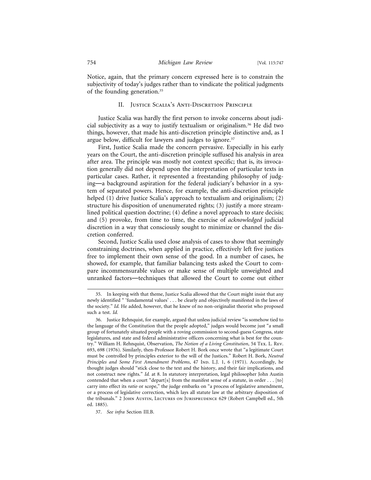Notice, again, that the primary concern expressed here is to constrain the subjectivity of today's judges rather than to vindicate the political judgments of the founding generation.35

### II. Justice Scalia's Anti-Discretion Principle

Justice Scalia was hardly the first person to invoke concerns about judicial subjectivity as a way to justify textualism or originalism.36 He did two things, however, that made his anti-discretion principle distinctive and, as I argue below, difficult for lawyers and judges to ignore.<sup>37</sup>

First, Justice Scalia made the concern pervasive. Especially in his early years on the Court, the anti-discretion principle suffused his analysis in area after area. The principle was mostly not context specific; that is, its invocation generally did not depend upon the interpretation of particular texts in particular cases. Rather, it represented a freestanding philosophy of judging—a background aspiration for the federal judiciary's behavior in a system of separated powers. Hence, for example, the anti-discretion principle helped (1) drive Justice Scalia's approach to textualism and originalism; (2) structure his disposition of unenumerated rights; (3) justify a more streamlined political question doctrine; (4) define a novel approach to stare decisis; and (5) provoke, from time to time, the exercise of *acknowledged* judicial discretion in a way that consciously sought to minimize or channel the discretion conferred.

Second, Justice Scalia used close analysis of cases to show that seemingly constraining doctrines, when applied in practice, effectively left five justices free to implement their own sense of the good. In a number of cases, he showed, for example, that familiar balancing tests asked the Court to compare incommensurable values or make sense of multiple unweighted and unranked factors—techniques that allowed the Court to come out either

37. *See infra* Section III.B.

<sup>35.</sup> In keeping with that theme, Justice Scalia allowed that the Court might insist that any newly identified " 'fundamental values' . . . be clearly and objectively manifested in the laws of the society." *Id.* He added, however, that he knew of no non-originalist theorist who proposed such a test. *Id.*

<sup>36.</sup> Justice Rehnquist, for example, argued that unless judicial review "is somehow tied to the language of the Constitution that the people adopted," judges would become just "a small group of fortunately situated people with a roving commission to second-guess Congress, state legislatures, and state and federal administrative officers concerning what is best for the country." William H. Rehnquist, Observation, *The Notion of a Living Constitution*, 54 Tex. L. Rev. 693, 698 (1976). Similarly, then-Professor Robert H. Bork once wrote that "a legitimate Court must be controlled by principles exterior to the will of the Justices." Robert H. Bork, *Neutral Principles and Some First Amendment Problems*, 47 IND. L.J. 1, 6 (1971). Accordingly, he thought judges should "stick close to the text and the history, and their fair implications, and not construct new rights." *Id.* at 8. In statutory interpretation, legal philosopher John Austin contended that when a court "depart[s] from the manifest sense of a statute, in order . . . [to] carry into effect its *ratio* or scope," the judge embarks on "a process of legislative amendment, or a process of legislative correction, which lays all statute law at the arbitrary disposition of the tribunals." 2 JOHN AUSTIN, LECTURES ON JURISPRUDENCE 629 (Robert Campbell ed., 5th ed. 1885).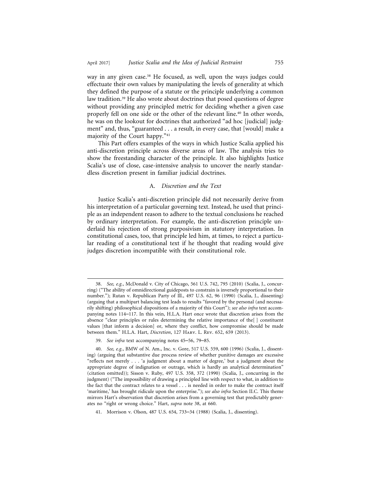way in any given case.<sup>38</sup> He focused, as well, upon the ways judges could effectuate their own values by manipulating the levels of generality at which they defined the purpose of a statute or the principle underlying a common law tradition.<sup>39</sup> He also wrote about doctrines that posed questions of degree without providing any principled metric for deciding whether a given case properly fell on one side or the other of the relevant line.40 In other words, he was on the lookout for doctrines that authorized "ad hoc [judicial] judgment" and, thus, "guaranteed . . . a result, in every case, that [would] make a majority of the Court happy."41

This Part offers examples of the ways in which Justice Scalia applied his anti-discretion principle across diverse areas of law. The analysis tries to show the freestanding character of the principle. It also highlights Justice Scalia's use of close, case-intensive analysis to uncover the nearly standardless discretion present in familiar judicial doctrines.

### A. *Discretion and the Text*

Justice Scalia's anti-discretion principle did not necessarily derive from his interpretation of a particular governing text. Instead, he used that principle as an independent reason to adhere to the textual conclusions he reached by ordinary interpretation. For example, the anti-discretion principle underlaid his rejection of strong purposivism in statutory interpretation. In constitutional cases, too, that principle led him, at times, to reject a particular reading of a constitutional text if he thought that reading would give judges discretion incompatible with their constitutional role.

<sup>38.</sup> *See, e.g.*, McDonald v. City of Chicago, 561 U.S. 742, 795 (2010) (Scalia, J., concurring) ("The ability of omnidirectional guideposts to constrain is inversely proportional to their number."); Rutan v. Republican Party of Ill., 497 U.S. 62, 96 (1990) (Scalia, J., dissenting) (arguing that a multipart balancing test leads to results "favored by the personal (and necessarily shifting) philosophical dispositions of a majority of this Court"); *see also infra* text accompanying notes 114–117. In this vein, H.L.A. Hart once wrote that discretion arises from the absence "clear principles or rules determining the relative importance of the[ ] constituent values [that inform a decision] or, where they conflict, how compromise should be made between them." H.L.A. Hart, *Discretion*, 127 Harv. L. Rev. 652, 659 (2013).

<sup>39.</sup> *See infra* text accompanying notes 45–56, 79–85.

<sup>40.</sup> *See, e.g.*, BMW of N. Am., Inc. v. Gore, 517 U.S. 559, 600 (1996) (Scalia, J., dissenting) (arguing that substantive due process review of whether punitive damages are excessive "reflects not merely . . . 'a judgment about a matter of degree,' but a judgment about the appropriate degree of indignation or outrage, which is hardly an analytical determination" (citation omitted)); Sisson v. Ruby, 497 U.S. 358, 372 (1990) (Scalia, J., concurring in the judgment) ("The impossibility of drawing a principled line with respect to what, in addition to the fact that the contract relates to a vessel . . . is needed in order to make the contract itself 'maritime,' has brought ridicule upon the enterprise."); *see also infra* Section II.C. This theme mirrors Hart's observation that discretion arises from a governing test that predictably generates no "right or wrong choice." Hart, *supra* note 38, at 660.

<sup>41.</sup> Morrison v. Olson, 487 U.S. 654, 733–34 (1988) (Scalia, J., dissenting).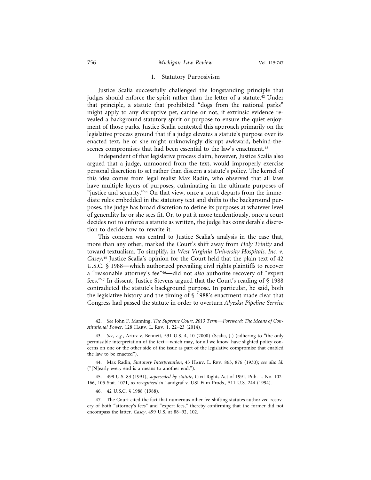### 1. Statutory Purposivism

Justice Scalia successfully challenged the longstanding principle that judges should enforce the spirit rather than the letter of a statute.42 Under that principle, a statute that prohibited "dogs from the national parks" might apply to any disruptive pet, canine or not, if extrinsic evidence revealed a background statutory spirit or purpose to ensure the quiet enjoyment of those parks. Justice Scalia contested this approach primarily on the legislative process ground that if a judge elevates a statute's purpose over its enacted text, he or she might unknowingly disrupt awkward, behind-thescenes compromises that had been essential to the law's enactment.<sup>43</sup>

Independent of that legislative process claim, however, Justice Scalia also argued that a judge, unmoored from the text, would improperly exercise personal discretion to set rather than discern a statute's policy. The kernel of this idea comes from legal realist Max Radin, who observed that all laws have multiple layers of purposes, culminating in the ultimate purposes of "justice and security."<sup>44</sup> On that view, once a court departs from the immediate rules embedded in the statutory text and shifts to the background purposes, the judge has broad discretion to define its purposes at whatever level of generality he or she sees fit. Or, to put it more tendentiously, once a court decides not to enforce a statute as written, the judge has considerable discretion to decide how to rewrite it.

This concern was central to Justice Scalia's analysis in the case that, more than any other, marked the Court's shift away from *Holy Trinity* and toward textualism. To simplify, in *West Virginia University Hospitals, Inc. v. Casey*, 45 Justice Scalia's opinion for the Court held that the plain text of 42 U.S.C. § 1988—which authorized prevailing civil rights plaintiffs to recover a "reasonable attorney's fee"46—did not *also* authorize recovery of "expert fees."47 In dissent, Justice Stevens argued that the Court's reading of § 1988 contradicted the statute's background purpose. In particular, he said, both the legislative history and the timing of § 1988's enactment made clear that Congress had passed the statute in order to overturn *Alyeska Pipeline Service*

45. 499 U.S. 83 (1991), *superseded by statute*, Civil Rights Act of 1991, Pub. L. No. 102- 166, 105 Stat. 1071, *as recognized in* Landgraf v. USI Film Prods., 511 U.S. 244 (1994).

46. 42 U.S.C. § 1988 (1988).

<sup>42.</sup> *See* John F. Manning, *The Supreme Court, 2013 Term*—*Foreword: The Means of Constitutional Power*, 128 Harv. L. Rev. 1, 22–23 (2014).

<sup>43.</sup> *See, e.g.*, Artuz v. Bennett, 531 U.S. 4, 10 (2000) (Scalia, J.) (adhering to "the only permissible interpretation of the text—which may, for all we know, have slighted policy concerns on one or the other side of the issue as part of the legislative compromise that enabled the law to be enacted").

<sup>44.</sup> Max Radin, *Statutory Interpretation*, 43 Harv. L. Rev. 863, 876 (1930); *see also id.* ("[N]early every end is a means to another end.").

<sup>47.</sup> The Court cited the fact that numerous other fee-shifting statutes authorized recovery of both "attorney's fees" and "expert fees," thereby confirming that the former did not encompass the latter. *Casey*, 499 U.S. at 88–92, 102.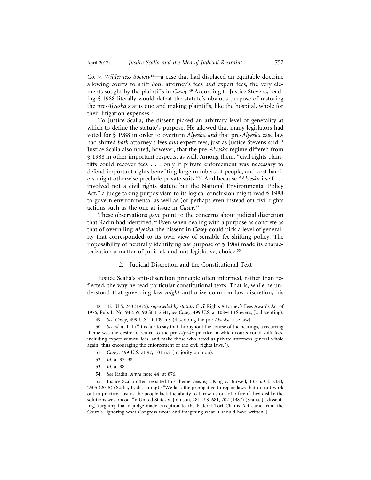*Co. v. Wilderness Society*<sup>48</sup>—a case that had displaced an equitable doctrine allowing courts to shift *both* attorney's fees *and* expert fees, the very elements sought by the plaintiffs in *Casey*. 49 According to Justice Stevens, reading § 1988 literally would defeat the statute's obvious purpose of restoring the pre-*Alyeska* status quo and making plaintiffs, like the hospital, whole for their litigation expenses.<sup>50</sup>

To Justice Scalia, the dissent picked an arbitrary level of generality at which to define the statute's purpose. He allowed that many legislators had voted for § 1988 in order to overturn *Alyeska and* that pre-*Alyeska* case law had shifted *both* attorney's fees *and* expert fees, just as Justice Stevens said.51 Justice Scalia also noted, however, that the pre-*Alyeska* regime differed from § 1988 in other important respects, as well. Among them, "civil rights plaintiffs could recover fees . . . only if private enforcement was necessary to defend important rights benefiting large numbers of people, and cost barriers might otherwise preclude private suits."52 And because "*Alyeska* itself . . . involved not a civil rights statute but the National Environmental Policy Act," a judge taking purposivism to its logical conclusion might read § 1988 to govern environmental as well as (or perhaps even instead of) civil rights actions such as the one at issue in *Casey*. 53

These observations gave point to the concerns about judicial discretion that Radin had identified.<sup>54</sup> Even when dealing with a purpose as concrete as that of overruling *Alyeska*, the dissent in *Casey* could pick a level of generality that corresponded to its own view of sensible fee-shifting policy. The impossibility of neutrally identifying *the* purpose of § 1988 made its characterization a matter of judicial, and not legislative, choice.55

### 2. Judicial Discretion and the Constitutional Text

Justice Scalia's anti-discretion principle often informed, rather than reflected, the way he read particular constitutional texts. That is, while he understood that governing law *might* authorize common law discretion, his

- 51. *Casey*, 499 U.S. at 97, 101 n.7 (majority opinion).
- 52. *Id.* at 97–98.
- 53. *Id.* at 98.
- 54. *See* Radin, *supra* note 44, at 876.

55. Justice Scalia often revisited this theme. *See, e.g.*, King v. Burwell, 135 S. Ct. 2480, 2505 (2015) (Scalia, J., dissenting) ("We lack the prerogative to repair laws that do not work out in practice, just as the people lack the ability to throw us out of office if they dislike the solutions we concoct."); United States v. Johnson, 481 U.S. 681, 702 (1987) (Scalia, J., dissenting) (arguing that a judge-made exception to the Federal Tort Claims Act came from the Court's "ignoring what Congress wrote and imagining what it should have written").

<sup>48. 421</sup> U.S. 240 (1975), *superseded by statute*, Civil Rights Attorney's Fees Awards Act of 1976, Pub. L. No. 94-559, 90 Stat. 2641; *see Casey*, 499 U.S. at 108–11 (Stevens, J., dissenting).

<sup>49.</sup> *See Casey*, 499 U.S. at 109 n.8 (describing the pre-*Alyeska* case law).

<sup>50.</sup> *See id.* at 111 ("It is fair to say that throughout the course of the hearings, a recurring theme was the desire to return to the pre-*Alyeska* practice in which courts could shift fees, including expert witness fees, and make those who acted as private attorneys general whole again, thus encouraging the enforcement of the civil rights laws.").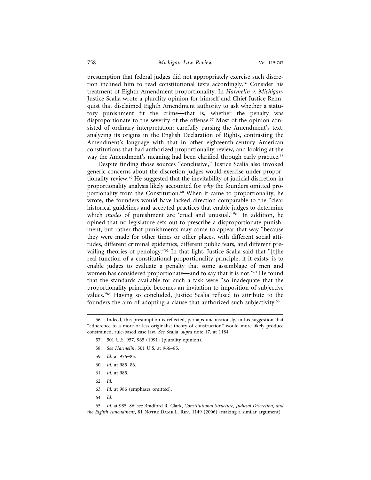presumption that federal judges did not appropriately exercise such discretion inclined him to read constitutional texts accordingly.56 Consider his treatment of Eighth Amendment proportionality. In *Harmelin v. Michigan*, Justice Scalia wrote a plurality opinion for himself and Chief Justice Rehnquist that disclaimed Eighth Amendment authority to ask whether a statutory punishment fit the crime—that is, whether the penalty was disproportionate to the severity of the offense.<sup>57</sup> Most of the opinion consisted of ordinary interpretation: carefully parsing the Amendment's text, analyzing its origins in the English Declaration of Rights, contrasting the Amendment's language with that in other eighteenth-century American constitutions that had authorized proportionality review, and looking at the way the Amendment's meaning had been clarified through early practice.<sup>58</sup>

Despite finding those sources "conclusive," Justice Scalia also invoked generic concerns about the discretion judges would exercise under proportionality review.59 He suggested that the inevitability of judicial discretion in proportionality analysis likely accounted for *why* the founders omitted proportionality from the Constitution.<sup>60</sup> When it came to proportionality, he wrote, the founders would have lacked direction comparable to the "clear historical guidelines and accepted practices that enable judges to determine which *modes* of punishment are 'cruel and unusual.'"<sup>61</sup> In addition, he opined that no legislature sets out to prescribe a disproportionate punishment, but rather that punishments may come to appear that way "because they were made for other times or other places, with different social attitudes, different criminal epidemics, different public fears, and different prevailing theories of penology."62 In that light, Justice Scalia said that "[t]he real function of a constitutional proportionality principle, if it exists, is to enable judges to evaluate a penalty that some assemblage of men and women has considered proportionate—and to say that it is not."<sup>63</sup> He found that the standards available for such a task were "so inadequate that the proportionality principle becomes an invitation to imposition of subjective values."64 Having so concluded, Justice Scalia refused to attribute to the founders the aim of adopting a clause that authorized such subjectivity.65

- 57. 501 U.S. 957, 965 (1991) (plurality opinion).
- 58. *See Harmelin*, 501 U.S. at 966–85.
- 59. *Id.* at 976–85.
- 60. *Id.* at 985–86.
- 61. *Id.* at 985.
- 62. *Id.*
- 63. *Id.* at 986 (emphases omitted).
- 64. *Id.*

65. *Id.* at 985–86; *see* Bradford R. Clark, *Constitutional Structure, Judicial Discretion, and the Eighth Amendment*, 81 Notre Dame L. Rev. 1149 (2006) (making a similar argument).

<sup>56.</sup> Indeed, this presumption is reflected, perhaps unconsciously, in his suggestion that "adherence to a more or less originalist theory of construction" would more likely produce constrained, rule-based case law. *See* Scalia, *supra* note 17, at 1184.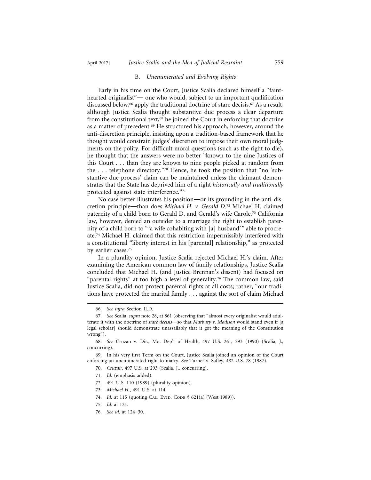### April 2017] *Justice Scalia and the Idea of Judicial Restraint* 759

### B. *Unenumerated and Evolving Rights*

Early in his time on the Court, Justice Scalia declared himself a "fainthearted originalist"— one who would, subject to an important qualification discussed below,<sup>66</sup> apply the traditional doctrine of stare decisis.<sup>67</sup> As a result, although Justice Scalia thought substantive due process a clear departure from the constitutional text,<sup>68</sup> he joined the Court in enforcing that doctrine as a matter of precedent.<sup>69</sup> He structured his approach, however, around the anti-discretion principle, insisting upon a tradition-based framework that he thought would constrain judges' discretion to impose their own moral judgments on the polity. For difficult moral questions (such as the right to die), he thought that the answers were no better "known to the nine Justices of this Court . . . than they are known to nine people picked at random from the . . . telephone directory."70 Hence, he took the position that "no 'substantive due process' claim can be maintained unless the claimant demonstrates that the State has deprived him of a right *historically and traditionally* protected against state interference."71

No case better illustrates his position—or its grounding in the anti-discretion principle—than does *Michael H. v. Gerald D.*72 Michael H. claimed paternity of a child born to Gerald D. and Gerald's wife Carole.73 California law, however, denied an outsider to a marriage the right to establish paternity of a child born to "'a wife cohabiting with [a] husband'" able to procreate.74 Michael H. claimed that this restriction impermissibly interfered with a constitutional "liberty interest in his [parental] relationship," as protected by earlier cases.75

In a plurality opinion, Justice Scalia rejected Michael H.'s claim. After examining the American common law of family relationships, Justice Scalia concluded that Michael H. (and Justice Brennan's dissent) had focused on "parental rights" at too high a level of generality.76 The common law, said Justice Scalia, did not protect parental rights at all costs; rather, "our traditions have protected the marital family . . . against the sort of claim Michael

<sup>66.</sup> *See infra* Section II.D.

<sup>67.</sup> *See* Scalia, *supra* note 28, at 861 (observing that "almost every originalist would adulterate it with the doctrine of *stare decisis*—so that *Marbury v. Madison* would stand even if [a legal scholar] should demonstrate unassailably that it got the meaning of the Constitution wrong").

<sup>68.</sup> *See* Cruzan v. Dir., Mo. Dep't of Health, 497 U.S. 261, 293 (1990) (Scalia, J., concurring).

<sup>69.</sup> In his very first Term on the Court, Justice Scalia joined an opinion of the Court enforcing an unenumerated right to marry. *See* Turner v. Safley, 482 U.S. 78 (1987).

<sup>70.</sup> *Cruzan*, 497 U.S. at 293 (Scalia, J., concurring).

<sup>71.</sup> *Id.* (emphasis added).

<sup>72. 491</sup> U.S. 110 (1989) (plurality opinion).

<sup>73.</sup> *Michael H.*, 491 U.S. at 114.

<sup>74.</sup> *Id.* at 115 (quoting CAL. EVID. CODE § 621(a) (West 1989)).

<sup>75.</sup> *Id.* at 121.

<sup>76.</sup> *See id*. at 124–30.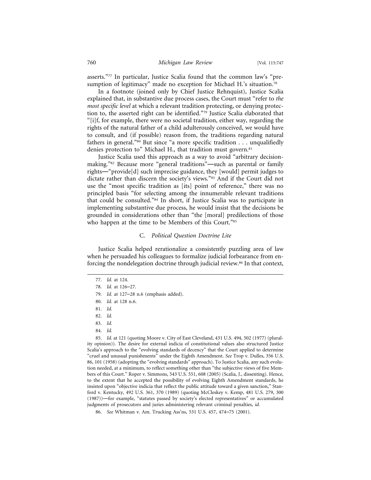asserts."77 In particular, Justice Scalia found that the common law's "presumption of legitimacy" made no exception for Michael H.'s situation.<sup>78</sup>

In a footnote (joined only by Chief Justice Rehnquist), Justice Scalia explained that, in substantive due process cases, the Court must "refer to *the most specific level* at which a relevant tradition protecting, or denying protection to, the asserted right can be identified."79 Justice Scalia elaborated that "[i]f, for example, there were no societal tradition, either way, regarding the rights of the natural father of a child adulterously conceived, we would have to consult, and (if possible) reason from, the traditions regarding natural fathers in general."80 But since "a more specific tradition . . . unqualifiedly denies protection to" Michael H., that tradition must govern.<sup>81</sup>

Justice Scalia used this approach as a way to avoid "arbitrary decisionmaking."82 Because more "general traditions"—such as parental or family rights—"provide[d] such imprecise guidance, they [would] permit judges to dictate rather than discern the society's views."83 And if the Court did not use the "most specific tradition as [its] point of reference," there was no principled basis "for selecting among the innumerable relevant traditions that could be consulted."84 In short, if Justice Scalia was to participate in implementing substantive due process, he would insist that the decisions be grounded in considerations other than "the [moral] predilections of those who happen at the time to be Members of this Court."<sup>85</sup>

### C. *Political Question Doctrine Lite*

Justice Scalia helped rerationalize a consistently puzzling area of law when he persuaded his colleagues to formalize judicial forbearance from enforcing the nondelegation doctrine through judicial review.<sup>86</sup> In that context,

84. *Id.*

85. *Id.* at 121 (quoting Moore v. City of East Cleveland, 431 U.S. 494, 502 (1977) (plurality opinion)). The desire for external indicia of constitutional values also structured Justice Scalia's approach to the "evolving standards of decency" that the Court applied to determine "cruel and unusual punishments" under the Eighth Amendment. *See* Trop v. Dulles, 356 U.S. 86, 101 (1958) (adopting the "evolving standards" approach). To Justice Scalia, any such evolution needed, at a minimum, to reflect something other than "the subjective views of five Members of this Court." Roper v. Simmons, 543 U.S. 551, 608 (2005) (Scalia, J., dissenting). Hence, to the extent that he accepted the possibility of evolving Eighth Amendment standards, he insisted upon "objective indicia that reflect the public attitude toward a given sanction," Stanford v. Kentucky, 492 U.S. 361, 370 (1989) (quoting McCleskey v. Kemp, 481 U.S. 279, 300 (1987))—for example, "statutes passed by society's elected representatives" or accumulated judgments of prosecutors and juries administering relevant criminal penalties, *id.*

86. *See* Whitman v. Am. Trucking Ass'ns, 531 U.S. 457, 474–75 (2001).

<sup>77.</sup> *Id.* at 124.

<sup>78.</sup> *Id.* at 126–27.

<sup>79.</sup> *Id.* at 127–28 n.6 (emphasis added).

<sup>80.</sup> *Id.* at 128 n.6.

<sup>81.</sup> *Id.*

<sup>82.</sup> *Id.*

<sup>83.</sup> *Id.*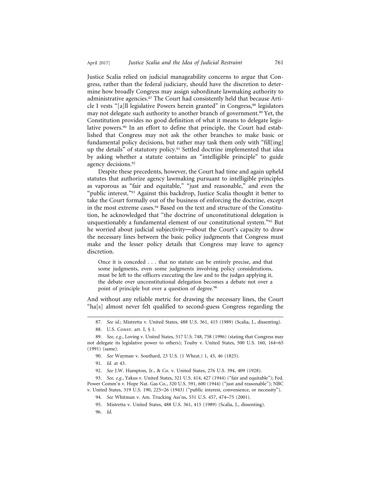Justice Scalia relied on judicial manageability concerns to argue that Congress, rather than the federal judiciary, should have the discretion to determine how broadly Congress may assign subordinate lawmaking authority to administrative agencies.<sup>87</sup> The Court had consistently held that because Article I vests "[a]ll legislative Powers herein granted" in Congress,<sup>88</sup> legislators may not delegate such authority to another branch of government.<sup>89</sup> Yet, the Constitution provides no good definition of what it means to delegate legislative powers.<sup>90</sup> In an effort to define that principle, the Court had established that Congress may not ask the other branches to make basic or fundamental policy decisions, but rather may task them only with "fill[ing] up the details" of statutory policy.91 Settled doctrine implemented that idea by asking whether a statute contains an "intelligible principle" to guide agency decisions.92

Despite these precedents, however, the Court had time and again upheld statutes that authorize agency lawmaking pursuant to intelligible principles as vaporous as "fair and equitable," "just and reasonable," and even the "public interest."93 Against this backdrop, Justice Scalia thought it better to take the Court formally out of the business of enforcing the doctrine, except in the most extreme cases.<sup>94</sup> Based on the text and structure of the Constitution, he acknowledged that "the doctrine of unconstitutional delegation is unquestionably a fundamental element of our constitutional system."95 But he worried about judicial subjectivity—about the Court's capacity to draw the necessary lines between the basic policy judgments that Congress must make and the lesser policy details that Congress may leave to agency discretion.

Once it is conceded . . . that no statute can be entirely precise, and that some judgments, even some judgments involving policy considerations, must be left to the officers executing the law and to the judges applying it, the debate over unconstitutional delegation becomes a debate not over a point of principle but over a question of degree.<sup>96</sup>

And without any reliable metric for drawing the necessary lines, the Court "ha[s] almost never felt qualified to second-guess Congress regarding the

<sup>87.</sup> *See id.*; Mistretta v. United States, 488 U.S. 361, 415 (1989) (Scalia, J., dissenting).

<sup>88.</sup> U.S. CONST. art. I, § 1.

<sup>89.</sup> *See, e.g.*, Loving v. United States, 517 U.S. 748, 758 (1996) (stating that Congress may not delegate its legislative power to others); Touby v. United States, 500 U.S. 160, 164–65 (1991) (same).

<sup>90.</sup> *See* Wayman v. Southard, 23 U.S. (1 Wheat.) 1, 43, 46 (1825).

<sup>91.</sup> *Id.* at 43.

<sup>92.</sup> *See* J.W. Hampton, Jr., & Co. v. United States, 276 U.S. 394, 409 (1928).

<sup>93.</sup> *See, e.g.*, Yakus v. United States, 321 U.S. 414, 427 (1944) ("fair and equitable"); Fed. Power Comm'n v. Hope Nat. Gas Co., 320 U.S. 591, 600 (1944) ("just and reasonable"); NBC v. United States, 319 U.S. 190, 225–26 (1943) ("public interest, convenience, or necessity").

<sup>94.</sup> *See* Whitman v. Am. Trucking Ass'ns, 531 U.S. 457, 474–75 (2001).

<sup>95.</sup> Mistretta v. United States, 488 U.S. 361, 415 (1989) (Scalia, J., dissenting).

<sup>96.</sup> *Id.*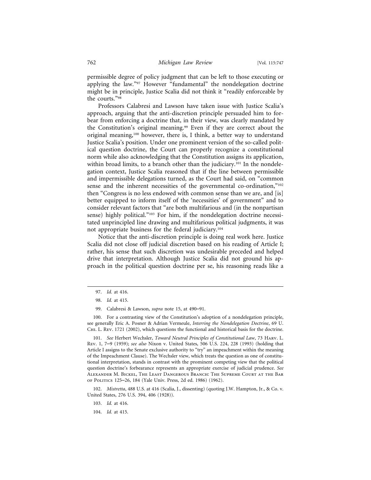permissible degree of policy judgment that can be left to those executing or applying the law."97 However "fundamental" the nondelegation doctrine might be in principle, Justice Scalia did not think it "readily enforceable by the courts."98

Professors Calabresi and Lawson have taken issue with Justice Scalia's approach, arguing that the anti-discretion principle persuaded him to forbear from enforcing a doctrine that, in their view, was clearly mandated by the Constitution's original meaning.<sup>99</sup> Even if they are correct about the original meaning,<sup>100</sup> however, there is, I think, a better way to understand Justice Scalia's position. Under one prominent version of the so-called political question doctrine, the Court can properly recognize a constitutional norm while also acknowledging that the Constitution assigns its application, within broad limits, to a branch other than the judiciary.<sup>101</sup> In the nondelegation context, Justice Scalia reasoned that if the line between permissible and impermissible delegations turned, as the Court had said, on "common sense and the inherent necessities of the governmental co-ordination,"<sup>102</sup> then "Congress is no less endowed with common sense than we are, and [is] better equipped to inform itself of the 'necessities' of government" and to consider relevant factors that "are both multifarious and (in the nonpartisan sense) highly political."<sup>103</sup> For him, if the nondelegation doctrine necessitated unprincipled line drawing and multifarious political judgments, it was not appropriate business for the federal judiciary.104

Notice that the anti-discretion principle is doing real work here. Justice Scalia did not close off judicial discretion based on his reading of Article I; rather, his sense that such discretion was undesirable preceded and helped drive that interpretation. Although Justice Scalia did not ground his approach in the political question doctrine per se, his reasoning reads like a

100. For a contrasting view of the Constitution's adoption of a nondelegation principle, see generally Eric A. Posner & Adrian Vermeule, *Interring the Nondelegation Doctrine*, 69 U. Chi. L. Rev. 1721 (2002), which questions the functional and historical basis for the doctrine.

101. *See* Herbert Wechsler, *Toward Neutral Principles of Constitutional Law*, 73 Harv. L. Rev. 1, 7–9 (1959); *see also* Nixon v. United States, 506 U.S. 224, 228 (1993) (holding that Article I assigns to the Senate exclusive authority to "try" an impeachment within the meaning of the Impeachment Clause). The Wechsler view, which treats the question as one of constitutional interpretation, stands in contrast with the prominent competing view that the political question doctrine's forbearance represents an appropriate exercise of judicial prudence. *See* Alexander M. Bickel, The Least Dangerous Branch: The Supreme Court at the Bar of Politics 125–26, 184 (Yale Univ. Press, 2d ed. 1986) (1962).

102. *Mistretta*, 488 U.S. at 416 (Scalia, J., dissenting) (quoting J.W. Hampton, Jr., & Co. v. United States, 276 U.S. 394, 406 (1928)).

103. *Id.* at 416.

104. *Id.* at 415.

<sup>97.</sup> *Id.* at 416.

<sup>98.</sup> *Id.* at 415.

<sup>99.</sup> Calabresi & Lawson, *supra* note 15, at 490–91.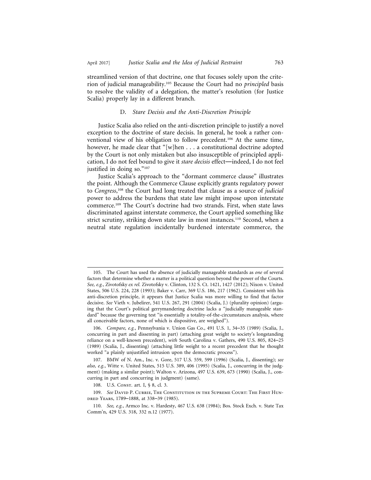streamlined version of that doctrine, one that focuses solely upon the criterion of judicial manageability.105 Because the Court had no *principled* basis to resolve the validity of a delegation, the matter's resolution (for Justice Scalia) properly lay in a different branch.

### D. *Stare Decisis and the Anti-Discretion Principle*

Justice Scalia also relied on the anti-discretion principle to justify a novel exception to the doctrine of stare decisis. In general, he took a rather conventional view of his obligation to follow precedent.<sup>106</sup> At the same time, however, he made clear that "[w]hen . . . a constitutional doctrine adopted by the Court is not only mistaken but also insusceptible of principled application, I do not feel bound to give it *stare decisis* effect—indeed, I do not feel justified in doing so."107

Justice Scalia's approach to the "dormant commerce clause" illustrates the point. Although the Commerce Clause explicitly grants regulatory power to *Congress*, 108 the Court had long treated that clause as a source of *judicial* power to address the burdens that state law might impose upon interstate commerce.109 The Court's doctrine had two strands. First, when state laws discriminated against interstate commerce, the Court applied something like strict scrutiny, striking down state law in most instances.<sup>110</sup> Second, when a neutral state regulation incidentally burdened interstate commerce, the

<sup>105.</sup> The Court has used the absence of judicially manageable standards as *one* of several factors that determine whether a matter is a political question beyond the power of the Courts. *See, e.g.*, Zivotofsky *ex rel.* Zivotofsky v. Clinton, 132 S. Ct. 1421, 1427 (2012); Nixon v. United States, 506 U.S. 224, 228 (1993); Baker v. Carr, 369 U.S. 186, 217 (1962). Consistent with his anti-discretion principle, it appears that Justice Scalia was more willing to find that factor decisive. *See* Vieth v. Jubelirer, 541 U.S. 267, 291 (2004) (Scalia, J.) (plurality opinion) (arguing that the Court's political gerrymandering doctrine lacks a "judicially manageable standard" because the governing test "is essentially a totality-of-the-circumstances analysis, where all conceivable factors, none of which is dispositive, are weighed").

<sup>106.</sup> *Compare, e.g.*, Pennsylvania v. Union Gas Co., 491 U.S. 1, 34–35 (1989) (Scalia, J., concurring in part and dissenting in part) (attaching great weight to society's longstanding reliance on a well-known precedent), *with* South Carolina v. Gathers, 490 U.S. 805, 824–25 (1989) (Scalia, J., dissenting) (attaching little weight to a recent precedent that he thought worked "a plainly unjustified intrusion upon the democratic process").

<sup>107.</sup> BMW of N. Am., Inc. v. Gore, 517 U.S. 559, 599 (1996) (Scalia, J., dissenting); *see also, e.g.*, Witte v. United States, 515 U.S. 389, 406 (1995) (Scalia, J., concurring in the judgment) (making a similar point); Walton v. Arizona, 497 U.S. 639, 673 (1990) (Scalia, J., concurring in part and concurring in judgment) (same).

<sup>108.</sup> U.S. CONST. art. I, § 8, cl. 3.

<sup>109.</sup> *See* David P. Currie, The Constitution in the Supreme Court: The First Hundred Years, 1789–1888, at 338–39 (1985).

<sup>110.</sup> *See, e.g.*, Armco Inc. v. Hardesty, 467 U.S. 638 (1984); Bos. Stock Exch. v. State Tax Comm'n, 429 U.S. 318, 332 n.12 (1977).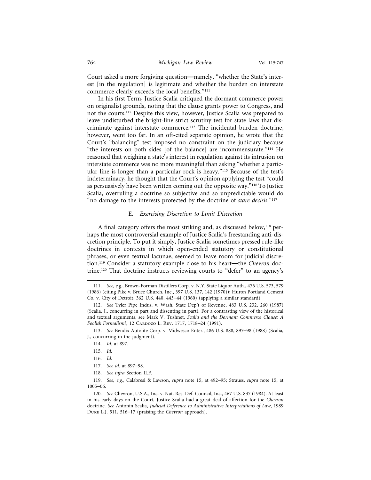Court asked a more forgiving question—namely, "whether the State's interest [in the regulation] is legitimate and whether the burden on interstate commerce clearly exceeds the local benefits."<sup>111</sup>

In his first Term, Justice Scalia critiqued the dormant commerce power on originalist grounds, noting that the clause grants power to Congress, and not the courts.112 Despite this view, however, Justice Scalia was prepared to leave undisturbed the bright-line strict scrutiny test for state laws that discriminate against interstate commerce.113 The incidental burden doctrine, however, went too far. In an oft-cited separate opinion, he wrote that the Court's "balancing" test imposed no constraint on the judiciary because "the interests on both sides [of the balance] are incommensurate."114 He reasoned that weighing a state's interest in regulation against its intrusion on interstate commerce was no more meaningful than asking "whether a particular line is longer than a particular rock is heavy."115 Because of the test's indeterminacy, he thought that the Court's opinion applying the test "could as persuasively have been written coming out the opposite way."116 To Justice Scalia, overruling a doctrine so subjective and so unpredictable would do "no damage to the interests protected by the doctrine of *stare decisis*."117

### E. *Exercising Discretion to Limit Discretion*

A final category offers the most striking and, as discussed below,<sup>118</sup> perhaps the most controversial example of Justice Scalia's freestanding anti-discretion principle. To put it simply, Justice Scalia sometimes pressed rule-like doctrines in contexts in which open-ended statutory or constitutional phrases, or even textual lacunae, seemed to leave room for judicial discretion.119 Consider a statutory example close to his heart—the *Chevron* doctrine.120 That doctrine instructs reviewing courts to "defer" to an agency's

113. *See* Bendix Autolite Corp. v. Midwesco Enter., 486 U.S. 888, 897–98 (1988) (Scalia, J., concurring in the judgment).

118. *See infra* Section II.F.

119. *See, e.g.*, Calabresi & Lawson, *supra* note 15, at 492–95; Strauss, *supra* note 15, at 1005–06.

120. *See* Chevron, U.S.A., Inc. v. Nat. Res. Def. Council, Inc., 467 U.S. 837 (1984). At least in his early days on the Court, Justice Scalia had a great deal of affection for the *Chevron* doctrine. *See* Antonin Scalia, *Judicial Deference to Administrative Interpretations of Law*, 1989 Duke L.J. 511, 516–17 (praising the *Chevron* approach).

<sup>111.</sup> *See, e.g.*, Brown-Forman Distillers Corp. v. N.Y. State Liquor Auth., 476 U.S. 573, 579 (1986) (citing Pike v. Bruce Church, Inc., 397 U.S. 137, 142 (1970)); Huron Portland Cement Co. v. City of Detroit, 362 U.S. 440, 443–44 (1960) (applying a similar standard).

<sup>112.</sup> *See* Tyler Pipe Indus. v. Wash. State Dep't of Revenue, 483 U.S. 232, 260 (1987) (Scalia, J., concurring in part and dissenting in part). For a contrasting view of the historical and textual arguments, see Mark V. Tushnet, *Scalia and the Dormant Commerce Clause: A Foolish Formalism?*, 12 CARDOZO L. REV. 1717, 1718-24 (1991).

<sup>114.</sup> *Id.* at 897.

<sup>115.</sup> *Id.*

<sup>116.</sup> *Id.*

<sup>117.</sup> *See id.* at 897–98.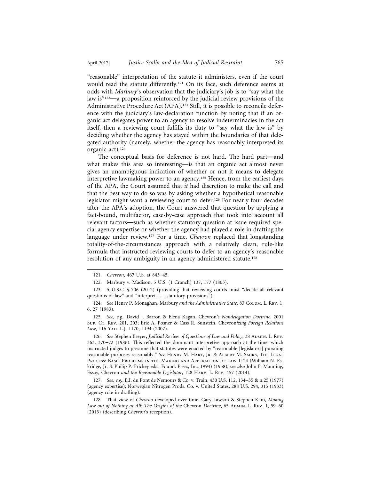"reasonable" interpretation of the statute it administers, even if the court would read the statute differently.121 On its face, such deference seems at odds with *Marbury*'s observation that the judiciary's job is to "say what the law is"122—a proposition reinforced by the judicial review provisions of the Administrative Procedure Act (APA).<sup>123</sup> Still, it is possible to reconcile deference with the judiciary's law-declaration function by noting that if an organic act delegates power to an agency to resolve indeterminacies in the act itself, then a reviewing court fulfills its duty to "say what the law is" by deciding whether the agency has stayed within the boundaries of that delegated authority (namely, whether the agency has reasonably interpreted its organic act).<sup>124</sup>

The conceptual basis for deference is not hard. The hard part—and what makes this area so interesting—is that an organic act almost never gives an unambiguous indication of whether or not it means to delegate interpretive lawmaking power to an agency.125 Hence, from the earliest days of the APA, the Court assumed that *it* had discretion to make the call and that the best way to do so was by asking whether a hypothetical reasonable legislator might want a reviewing court to defer.126 For nearly four decades after the APA's adoption, the Court answered that question by applying a fact-bound, multifactor, case-by-case approach that took into account all relevant factors—such as whether statutory question at issue required special agency expertise or whether the agency had played a role in drafting the language under review.127 For a time, *Chevron* replaced that longstanding totality-of-the-circumstances approach with a relatively clean, rule-like formula that instructed reviewing courts to defer to an agency's reasonable resolution of any ambiguity in an agency-administered statute.128

123. 5 U.S.C. § 706 (2012) (providing that reviewing courts must "decide all relevant questions of law" and "interpret . . . statutory provisions").

124. *See* Henry P. Monaghan, Marbury *and the Administrative State*, 83 Colum. L. Rev. 1, 6, 27 (1983).

125. *See, e.g.*, David J. Barron & Elena Kagan, Chevron*'s Nondelegation Doctrine*, 2001 Sup. Cr. Rev. 201, 203; Eric A. Posner & Cass R. Sunstein, Chevronizing Foreign Relations *Law*, 116 Yale L.J. 1170, 1194 (2007).

126. See Stephen Breyer, *Judicial Review of Questions of Law and Policy*, 38 ADMIN. L. Rev. 363, 370–72 (1986). This reflected the dominant interpretive approach at the time, which instructed judges to presume that statutes were enacted by "reasonable [legislators] pursuing reasonable purposes reasonably." *See* Henry M. Hart, Jr. & Albert M. Sacks, The Legal Process: Basic Problems in the Making and Application of Law 1124 (William N. Eskridge, Jr. & Philip P. Frickey eds., Found. Press, Inc. 1994) (1958); *see also* John F. Manning, Essay, Chevron *and the Reasonable Legislator*, 128 Harv. L. Rev. 457 (2014).

127. *See, e.g.*, E.I. du Pont de Nemours & Co. v. Train, 430 U.S. 112, 134–35 & n.25 (1977) (agency expertise); Norwegian Nitrogen Prods. Co. v. United States, 288 U.S. 294, 315 (1933) (agency role in drafting).

<sup>121.</sup> *Chevron*, 467 U.S. at 843–45.

<sup>122.</sup> Marbury v. Madison, 5 U.S. (1 Cranch) 137, 177 (1803).

<sup>128.</sup> That view of *Chevron* developed over time. Gary Lawson & Stephen Kam, *Making* Law out of Nothing at All: The Origins of the Chevron *Doctrine*, 65 ADMIN. L. REV. 1, 59-60 (2013) (describing *Chevron*'s reception).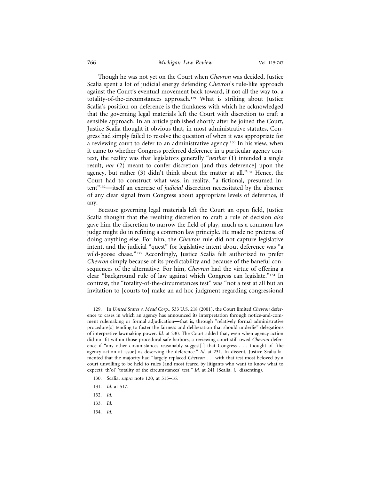### 766 *Michigan Law Review* [Vol. 115:747

Though he was not yet on the Court when *Chevron* was decided, Justice Scalia spent a lot of judicial energy defending *Chevron*'s rule-like approach against the Court's eventual movement back toward, if not all the way to, a totality-of-the-circumstances approach.129 What is striking about Justice Scalia's position on deference is the frankness with which he acknowledged that the governing legal materials left the Court with discretion to craft a sensible approach. In an article published shortly after he joined the Court, Justice Scalia thought it obvious that, in most administrative statutes, Congress had simply failed to resolve the question of when it was appropriate for a reviewing court to defer to an administrative agency.130 In his view, when it came to whether Congress preferred deference in a particular agency context, the reality was that legislators generally "*neither* (1) intended a single result, *nor* (2) meant to confer discretion [and thus deference] upon the agency, but rather (3) didn't think about the matter at all."<sup>131</sup> Hence, the Court had to construct what was, in reality, "a fictional, presumed intent"132—itself an exercise of *judicial* discretion necessitated by the absence of any clear signal from Congress about appropriate levels of deference, if any.

Because governing legal materials left the Court an open field, Justice Scalia thought that the resulting discretion to craft a rule of decision *also* gave him the discretion to narrow the field of play, much as a common law judge might do in refining a common law principle. He made no pretense of doing anything else. For him, the *Chevron* rule did not capture legislative intent, and the judicial "quest" for legislative intent about deference was "a wild-goose chase."133 Accordingly, Justice Scalia felt authorized to prefer *Chevron* simply because of its predictability and because of the baneful consequences of the alternative. For him, *Chevron* had the virtue of offering a clear "background rule of law against which Congress can legislate."134 In contrast, the "totality-of-the-circumstances test" was "not a test at all but an invitation to [courts to] make an ad hoc judgment regarding congressional

- 130. Scalia, *supra* note 120, at 515–16.
- 131. *Id.* at 517.
- 132. *Id.*
- 133. *Id.*
- 134. *Id.*

<sup>129.</sup> In *United States v. Mead Corp.*, 533 U.S. 218 (2001), the Court limited *Chevron* deference to cases in which an agency has announced its interpretation through notice-and-comment rulemaking or formal adjudication—that is, through "relatively formal administrative procedure[s] tending to foster the fairness and deliberation that should underlie" delegations of interpretive lawmaking power. *Id.* at 230. The Court added that, even when agency action did not fit within those procedural safe harbors, a reviewing court still owed *Chevron* deference if "any other circumstances reasonably suggest  $\lceil \cdot \rceil$  that Congress . . . thought of  $\lceil \cdot \rceil$  the agency action at issue] as deserving the deference." *Id.* at 231. In dissent, Justice Scalia lamented that the majority had "largely replaced *Chevron* . . . with that test most beloved by a court unwilling to be held to rules (and most feared by litigants who want to know what to expect): th'ol' 'totality of the circumstances' test." *Id.* at 241 (Scalia, J., dissenting).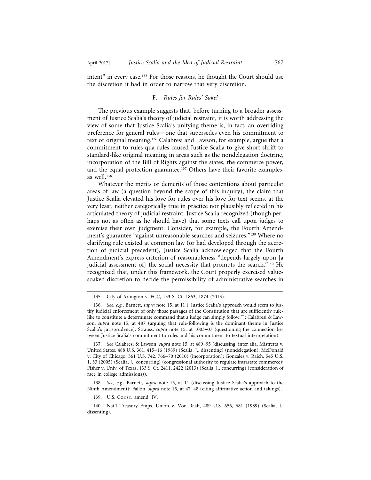intent" in every case.<sup>135</sup> For those reasons, he thought the Court should use the discretion it had in order to narrow that very discretion.

### F. *Rules for Rules' Sake?*

The previous example suggests that, before turning to a broader assessment of Justice Scalia's theory of judicial restraint, it is worth addressing the view of some that Justice Scalia's unifying theme is, in fact, an overriding preference for general rules—one that supersedes even his commitment to text or original meaning.136 Calabresi and Lawson, for example, argue that a commitment to rules qua rules caused Justice Scalia to give short shrift to standard-like original meaning in areas such as the nondelegation doctrine, incorporation of the Bill of Rights against the states, the commerce power, and the equal protection guarantee.137 Others have their favorite examples, as well.<sup>138</sup>

Whatever the merits or demerits of those contentions about particular areas of law (a question beyond the scope of this inquiry), the claim that Justice Scalia elevated his love for rules over his love for text seems, at the very least, neither categorically true in practice nor plausibly reflected in his articulated theory of judicial restraint. Justice Scalia recognized (though perhaps not as often as he should have) that some texts call upon judges to exercise their own judgment. Consider, for example, the Fourth Amendment's guarantee "against unreasonable searches and seizures."139 Where no clarifying rule existed at common law (or had developed through the accretion of judicial precedent), Justice Scalia acknowledged that the Fourth Amendment's express criterion of reasonableness "depends largely upon [a judicial assessment of] the social necessity that prompts the search."<sup>140</sup> He recognized that, under this framework, the Court properly exercised valuesoaked discretion to decide the permissibility of administrative searches in

138. *See, e.g.*, Barnett, *supra* note 15, at 11 (discussing Justice Scalia's approach to the Ninth Amendment); Fallon, *supra* note 15, at 47–48 (citing affirmative action and takings).

139. U.S. Const. amend. IV.

140. Nat'l Treasury Emps. Union v. Von Raab, 489 U.S. 656, 681 (1989) (Scalia, J., dissenting).

<sup>135.</sup> City of Arlington v. FCC, 133 S. Ct. 1863, 1874 (2013).

<sup>136.</sup> *See, e.g.*, Barnett, *supra* note 15, at 11 ("Justice Scalia's approach would seem to justify judicial enforcement of only those passages of the Constitution that are sufficiently rulelike to constitute a determinate command that a judge can simply follow."); Calabresi & Lawson, *supra* note 15, at 487 (arguing that rule-following is the dominant theme in Justice Scalia's jurisprudence); Strauss, *supra* note 15, at 1003–07 (questioning the connection between Justice Scalia's commitment to rules and his commitment to textual interpretation).

<sup>137.</sup> *See* Calabresi & Lawson, *supra* note 15, at 489–95 (discussing, inter alia, Mistretta v. United States, 488 U.S. 361, 415–16 (1989) (Scalia, J., dissenting) (nondelegation); McDonald v. City of Chicago, 561 U.S. 742, 766–70 (2010) (incorporation); Gonzales v. Raich, 545 U.S. 1, 33 (2005) (Scalia, J., concurring) (congressional authority to regulate intrastate commerce); Fisher v. Univ. of Texas, 133 S. Ct. 2411, 2422 (2013) (Scalia, J., concurring) (consideration of race in college admissions)).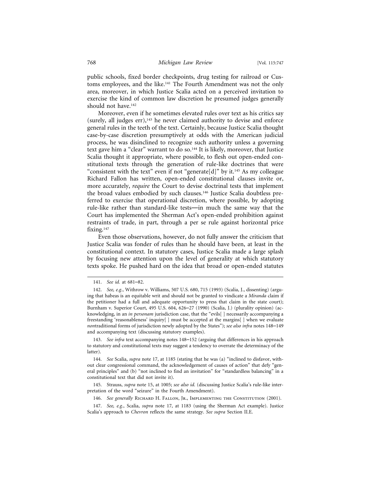public schools, fixed border checkpoints, drug testing for railroad or Customs employees, and the like.141 The Fourth Amendment was not the only area, moreover, in which Justice Scalia acted on a perceived invitation to exercise the kind of common law discretion he presumed judges generally should not have.<sup>142</sup>

Moreover, even if he sometimes elevated rules over text as his critics say  $(surely, all judges err)$ ,<sup>143</sup> he never claimed authority to devise and enforce general rules in the teeth of the text. Certainly, because Justice Scalia thought case-by-case discretion presumptively at odds with the American judicial process, he was disinclined to recognize such authority unless a governing text gave him a "clear" warrant to do so.<sup>144</sup> It is likely, moreover, that Justice Scalia thought it appropriate, where possible, to flesh out open-ended constitutional texts through the generation of rule-like doctrines that were "consistent with the text" even if not "generate $[d]$ " by it.<sup>145</sup> As my colleague Richard Fallon has written, open-ended constitutional clauses invite or, more accurately, *require* the Court to devise doctrinal tests that implement the broad values embodied by such clauses.146 Justice Scalia doubtless preferred to exercise that operational discretion, where possible, by adopting rule-like rather than standard-like tests—in much the same way that the Court has implemented the Sherman Act's open-ended prohibition against restraints of trade, in part, through a per se rule against horizontal price fixing.<sup>147</sup>

Even those observations, however, do not fully answer the criticism that Justice Scalia was fonder of rules than he should have been, at least in the constitutional context. In statutory cases, Justice Scalia made a large splash by focusing new attention upon the level of generality at which statutory texts spoke. He pushed hard on the idea that broad or open-ended statutes

143. *See infra* text accompanying notes 148–152 (arguing that differences in his approach to statutory and constitutional texts may suggest a tendency to overrate the determinacy of the latter).

144. *See* Scalia, *supra* note 17, at 1185 (stating that he was (a) "inclined to disfavor, without clear congressional command, the acknowledgement of causes of action" that defy "general principles" and (b) "not inclined to find an invitation" for "standardless balancing" in a constitutional text that did not invite it).

145. Strauss, *supra* note 15, at 1005; *see also id.* (discussing Justice Scalia's rule-like interpretation of the word "seizure" in the Fourth Amendment).

146. See generally RICHARD H. FALLON, JR., IMPLEMENTING THE CONSTITUTION (2001).

147. *See, e.g.*, Scalia, *supra* note 17, at 1183 (using the Sherman Act example). Justice Scalia's approach to *Chevron* reflects the same strategy. *See supra* Section II.E.

<sup>141.</sup> *See id.* at 681–82.

<sup>142.</sup> *See, e.g.*, Withrow v. Williams, 507 U.S. 680, 715 (1993) (Scalia, J., dissenting) (arguing that habeas is an equitable writ and should not be granted to vindicate a *Miranda* claim if the petitioner had a full and adequate opportunity to press that claim in the state court); Burnham v. Superior Court, 495 U.S. 604, 626–27 (1990) (Scalia, J.) (plurality opinion) (acknowledging, in an *in personam* jurisdiction case, that the "evils[ ] necessarily accompanying a freestanding 'reasonableness' inquiry[ ] must be accepted at the margins[ ] when we evaluate *non*traditional forms of jurisdiction newly adopted by the States"); *see also infra* notes 148–149 and accompanying text (discussing statutory examples).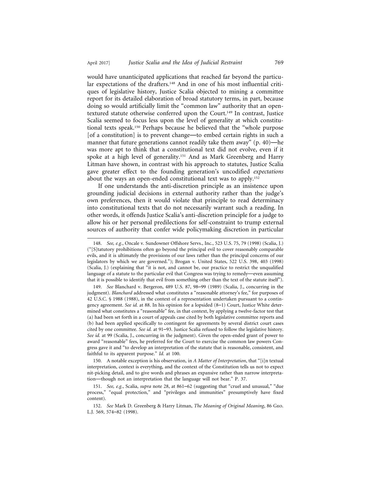would have unanticipated applications that reached far beyond the particular expectations of the drafters.<sup>148</sup> And in one of his most influential critiques of legislative history, Justice Scalia objected to mining a committee report for its detailed elaboration of broad statutory terms, in part, because doing so would artificially limit the "common law" authority that an opentextured statute otherwise conferred upon the Court.<sup>149</sup> In contrast, Justice Scalia seemed to focus less upon the level of generality at which constitutional texts speak.150 Perhaps because he believed that the "whole purpose [of a constitution] is to prevent change—to embed certain rights in such a manner that future generations cannot readily take them away" (p. 40)—he was more apt to think that a constitutional text did not evolve, even if it spoke at a high level of generality.151 And as Mark Greenberg and Harry Litman have shown, in contrast with his approach to statutes, Justice Scalia gave greater effect to the founding generation's uncodified *expectations* about the ways an open-ended constitutional text was to apply.152

If one understands the anti-discretion principle as an insistence upon grounding judicial decisions in external authority rather than the judge's own preferences, then it would violate that principle to read determinacy into constitutional texts that do not necessarily warrant such a reading. In other words, it offends Justice Scalia's anti-discretion principle for a judge to allow his or her personal predilections for self-constraint to trump external sources of authority that confer wide policymaking discretion in particular

149. *See* Blanchard v. Bergeron, 489 U.S. 87, 98–99 (1989) (Scalia, J., concurring in the judgment). *Blanchard* addressed what constitutes a "reasonable attorney's fee," for purposes of 42 U.S.C. § 1988 (1988), in the context of a representation undertaken pursuant to a contingency agreement. *See id.* at 88. In his opinion for a lopsided (8–1) Court, Justice White determined what constitutes a "reasonable" fee, in that context, by applying a twelve-factor test that (a) had been set forth in a court of appeals case cited by both legislative committee reports and (b) had been applied specifically to contingent fee agreements by several district court cases cited by one committee. *See id.* at 91–93. Justice Scalia refused to follow the legislative history. *See id.* at 99 (Scalia, J., concurring in the judgment). Given the open-ended grant of power to award "reasonable" fees, he preferred for the Court to exercise the common law powers Congress gave it and "to develop an interpretation of the statute that is reasonable, consistent, and faithful to its apparent purpose." *Id.* at 100.

150. A notable exception is his observation, in *A Matter of Interpretation*, that "[i]n textual interpretation, context is everything, and the context of the Constitution tells us not to expect nit-picking detail, and to give words and phrases an expansive rather than narrow interpretation—though not an interpretation that the language will not bear." P. 37.

151. *See, e.g.*, Scalia, *supra* note 28, at 861–62 (suggesting that "cruel and unusual," "due process," "equal protection," and "privileges and immunities" presumptively have fixed content).

<sup>148.</sup> *See, e.g.*, Oncale v. Sundowner Offshore Servs., Inc., 523 U.S. 75, 79 (1998) (Scalia, J.) ("[S]tatutory prohibitions often go beyond the principal evil to cover reasonably comparable evils, and it is ultimately the provisions of our laws rather than the principal concerns of our legislators by which we are governed."); Brogan v. United States, 522 U.S. 398, 403 (1998) (Scalia, J.) (explaining that "it is not, and cannot be, our practice to restrict the unqualified language of a statute to the particular evil that Congress was trying to remedy—even assuming that it is possible to identify that evil from something other than the text of the statute itself").

<sup>152.</sup> *See* Mark D. Greenberg & Harry Litman, *The Meaning of Original Meaning*, 86 Geo. L.J. 569, 574–82 (1998).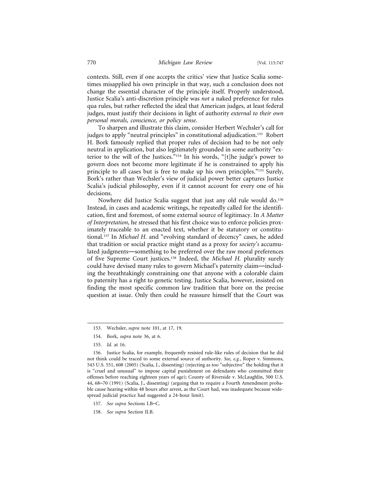contexts. Still, even if one accepts the critics' view that Justice Scalia sometimes misapplied his own principle in that way, such a conclusion does not change the essential character of the principle itself. Properly understood, Justice Scalia's anti-discretion principle was *not* a naked preference for rules qua rules, but rather reflected the ideal that American judges, at least federal judges, must justify their decisions in light of authority *external to their own personal morals, conscience, or policy sense*.

To sharpen and illustrate this claim, consider Herbert Wechsler's call for judges to apply "neutral principles" in constitutional adjudication.<sup>153</sup> Robert H. Bork famously replied that proper rules of decision had to be not only neutral in application, but also legitimately grounded in some authority "exterior to the will of the Justices."154 In his words, "[t]he judge's power to govern does not become more legitimate if he is constrained to apply his principle to all cases but is free to make up his own principles."155 Surely, Bork's rather than Wechsler's view of judicial power better captures Justice Scalia's judicial philosophy, even if it cannot account for every one of his decisions.

Nowhere did Justice Scalia suggest that just any old rule would do.156 Instead, in cases and academic writings, he repeatedly called for the identification, first and foremost, of some external source of legitimacy. In *A Matter of Interpretation*, he stressed that his first choice was to enforce policies proximately traceable to an enacted text, whether it be statutory or constitutional.157 In *Michael H.* and "evolving standard of decency" cases, he added that tradition or social practice might stand as a proxy for *society's* accumulated judgments—something to be preferred over the raw moral preferences of five Supreme Court justices.158 Indeed, the *Michael H.* plurality surely could have devised many rules to govern Michael's paternity claim—including the breathtakingly constraining one that anyone with a colorable claim to paternity has a right to genetic testing. Justice Scalia, however, insisted on finding the most specific common law tradition that bore on the precise question at issue. Only then could he reassure himself that the Court was

<sup>153.</sup> Wechsler, *supra* note 101, at 17, 19.

<sup>154.</sup> Bork, *supra* note 36, at 6.

<sup>155.</sup> *Id.* at 16.

<sup>156.</sup> Justice Scalia, for example, frequently resisted rule-like rules of decision that he did not think could be traced to some external source of authority. *See, e.g.*, Roper v. Simmons, 543 U.S. 551, 608 (2005) (Scalia, J., dissenting) (rejecting as too "subjective" the holding that it is "cruel and unusual" to impose capital punishment on defendants who committed their offenses before reaching eighteen years of age); County of Riverside v. McLaughlin, 500 U.S. 44, 68–70 (1991) (Scalia, J., dissenting) (arguing that to require a Fourth Amendment probable cause hearing within 48 hours after arrest, as the Court had, was inadequate because widespread judicial practice had suggested a 24-hour limit).

<sup>157.</sup> *See supra* Sections I.B–C.

<sup>158.</sup> *See supra* Section II.B.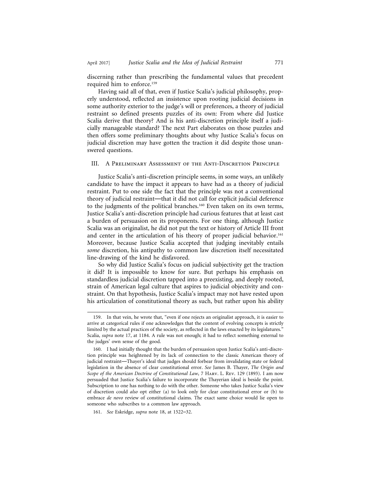discerning rather than prescribing the fundamental values that precedent required him to enforce.159

Having said all of that, even if Justice Scalia's judicial philosophy, properly understood, reflected an insistence upon rooting judicial decisions in some authority exterior to the judge's will or preferences, a theory of judicial restraint so defined presents puzzles of its own: From where did Justice Scalia derive that theory? And is his anti-discretion principle itself a judicially manageable standard? The next Part elaborates on those puzzles and then offers some preliminary thoughts about why Justice Scalia's focus on judicial discretion may have gotten the traction it did despite those unanswered questions.

### III. A Preliminary Assessment of the Anti-Discretion Principle

Justice Scalia's anti-discretion principle seems, in some ways, an unlikely candidate to have the impact it appears to have had as a theory of judicial restraint. Put to one side the fact that the principle was not a conventional theory of judicial restraint—that it did not call for explicit judicial deference to the judgments of the political branches.<sup>160</sup> Even taken on its own terms, Justice Scalia's anti-discretion principle had curious features that at least cast a burden of persuasion on its proponents. For one thing, although Justice Scalia was an originalist, he did not put the text or history of Article III front and center in the articulation of his theory of proper judicial behavior.<sup>161</sup> Moreover, because Justice Scalia accepted that judging inevitably entails *some* discretion, his antipathy to common law discretion itself necessitated line-drawing of the kind he disfavored.

So why did Justice Scalia's focus on judicial subjectivity get the traction it did? It is impossible to know for sure. But perhaps his emphasis on standardless judicial discretion tapped into a preexisting, and deeply rooted, strain of American legal culture that aspires to judicial objectivity and constraint. On that hypothesis, Justice Scalia's impact may not have rested upon his articulation of constitutional theory as such, but rather upon his ability

<sup>159.</sup> In that vein, he wrote that, "even if one rejects an originalist approach, it is easier to arrive at categorical rules if one acknowledges that the content of evolving concepts is strictly limited by the actual practices of the society, as reflected in the laws enacted by its legislatures." Scalia, *supra* note 17, at 1184. A rule was not enough; it had to reflect something external to the judges' own sense of the good.

<sup>160.</sup> I had initially thought that the burden of persuasion upon Justice Scalia's anti-discretion principle was heightened by its lack of connection to the classic American theory of judicial restraint—Thayer's ideal that judges should forbear from invalidating state or federal legislation in the absence of clear constitutional error. *See* James B. Thayer, *The Origin and Scope of the American Doctrine of Constitutional Law*, 7 Harv. L. Rev. 129 (1893). I am now persuaded that Justice Scalia's failure to incorporate the Thayerian ideal is beside the point. Subscription to one has nothing to do with the other. Someone who takes Justice Scalia's view of discretion could *also* opt either (a) to look only for clear constitutional error or (b) to embrace *de novo* review of constitutional claims. The exact same choice would lie open to someone who subscribes to a common law approach.

<sup>161.</sup> *See* Eskridge, *supra* note 18, at 1522–32.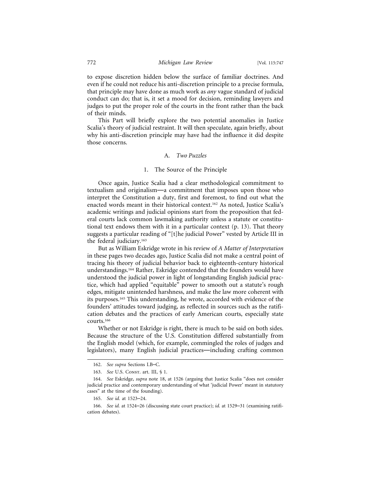to expose discretion hidden below the surface of familiar doctrines. And even if he could not reduce his anti-discretion principle to a precise formula, that principle may have done as much work as *any* vague standard of judicial conduct can do; that is, it set a mood for decision, reminding lawyers and judges to put the proper role of the courts in the front rather than the back of their minds.

This Part will briefly explore the two potential anomalies in Justice Scalia's theory of judicial restraint. It will then speculate, again briefly, about why his anti-discretion principle may have had the influence it did despite those concerns.

### A. *Two Puzzles*

### 1. The Source of the Principle

Once again, Justice Scalia had a clear methodological commitment to textualism and originalism—a commitment that imposes upon those who interpret the Constitution a duty, first and foremost, to find out what the enacted words meant in their historical context.162 As noted, Justice Scalia's academic writings and judicial opinions start from the proposition that federal courts lack common lawmaking authority unless a statute or constitutional text endows them with it in a particular context (p. 13). That theory suggests a particular reading of "[t]he judicial Power" vested by Article III in the federal judiciary.<sup>163</sup>

But as William Eskridge wrote in his review of *A Matter of Interpretation* in these pages two decades ago, Justice Scalia did not make a central point of tracing his theory of judicial behavior back to eighteenth-century historical understandings.164 Rather, Eskridge contended that the founders would have understood the judicial power in light of longstanding English judicial practice, which had applied "equitable" power to smooth out a statute's rough edges, mitigate unintended harshness, and make the law more coherent with its purposes.165 This understanding, he wrote, accorded with evidence of the founders' attitudes toward judging, as reflected in sources such as the ratification debates and the practices of early American courts, especially state courts.166

Whether or not Eskridge is right, there is much to be said on both sides. Because the structure of the U.S. Constitution differed substantially from the English model (which, for example, commingled the roles of judges and legislators), many English judicial practices—including crafting common

<sup>162.</sup> *See supra* Sections I.B–C.

<sup>163.</sup> *See* U.S. Const. art. III, § 1.

<sup>164.</sup> *See* Eskridge, *supra* note 18, at 1526 (arguing that Justice Scalia "does not consider judicial practice and contemporary understanding of what 'judicial Power' meant in statutory cases" at the time of the founding).

<sup>165.</sup> *See id.* at 1523–24.

<sup>166.</sup> *See id.* at 1524–26 (discussing state court practice); *id.* at 1529–31 (examining ratification debates).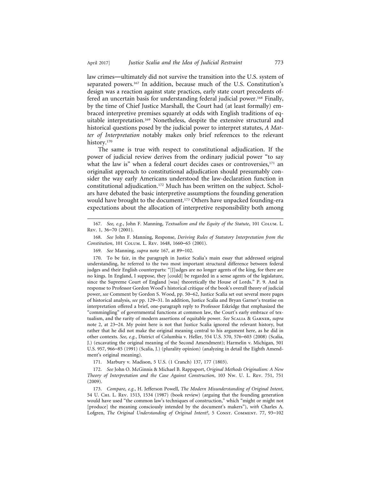law crimes—ultimately did not survive the transition into the U.S. system of separated powers.<sup>167</sup> In addition, because much of the U.S. Constitution's design was a reaction against state practices, early state court precedents offered an uncertain basis for understanding federal judicial power.168 Finally, by the time of Chief Justice Marshall, the Court had (at least formally) embraced interpretive premises squarely at odds with English traditions of equitable interpretation.169 Nonetheless, despite the extensive structural and historical questions posed by the judicial power to interpret statutes, *A Matter of Interpretation* notably makes only brief references to the relevant history.<sup>170</sup>

The same is true with respect to constitutional adjudication. If the power of judicial review derives from the ordinary judicial power "to say what the law is" when a federal court decides cases or controversies,<sup>171</sup> an originalist approach to constitutional adjudication should presumably consider the way early Americans understood the law-declaration function in constitutional adjudication.172 Much has been written on the subject. Scholars have debated the basic interpretive assumptions the founding generation would have brought to the document.<sup>173</sup> Others have unpacked founding-era expectations about the allocation of interpretive responsibility both among

<sup>167.</sup> *See, e.g.*, John F. Manning, *Textualism and the Equity of the Statute*, 101 Colum. L. Rev. 1, 36–70 (2001).

<sup>168.</sup> *See* John F. Manning, Response, *Deriving Rules of Statutory Interpretation from the Constitution*, 101 Colum. L. Rev. 1648, 1660–65 (2001).

<sup>169.</sup> *See* Manning, *supra* note 167, at 89–102.

<sup>170.</sup> To be fair, in the paragraph in Justice Scalia's main essay that addressed original understanding, he referred to the two most important structural difference between federal judges and their English counterparts: "[J]udges are no longer agents of the king, for there are no kings. In England, I suppose, they [could] be regarded in a sense agents of the legislature, since the Supreme Court of England [was] theoretically the House of Lords." P. 9. And in response to Professor Gordon Wood's historical critique of the book's overall theory of judicial power, *see* Comment by Gordon S. Wood, pp. 50–62, Justice Scalia set out several more pages of historical analysis, *see* pp. 129–31. In addition, Justice Scalia and Bryan Garner's treatise on interpretation offered a brief, one-paragraph reply to Professor Eskridge that emphasized the "commingling" of governmental functions at common law, the Court's early embrace of textualism, and the rarity of modern assertions of equitable power. *See* Scalia & Garner, *supra* note 2, at 23–24. My point here is not that Justice Scalia ignored the relevant history, but rather that he did not make the original meaning central to his argument here, as he did in other contexts. *See, e.g.*, District of Columbia v. Heller, 554 U.S. 570, 576–603 (2008) (Scalia, J.) (excavating the original meaning of the Second Amendment); Harmelin v. Michigan, 501 U.S. 957, 966–85 (1991) (Scalia, J.) (plurality opinion) (analyzing in detail the Eighth Amendment's original meaning).

<sup>171.</sup> Marbury v. Madison, 5 U.S. (1 Cranch) 137, 177 (1803).

<sup>172.</sup> *See* John O. McGinnis & Michael B. Rappaport, *Original Methods Originalism: A New Theory of Interpretation and the Case Against Construction*, 103 Nw. U. L. Rev. 751, 751 (2009).

<sup>173.</sup> *Compare, e.g.*, H. Jefferson Powell, *The Modern Misunderstanding of Original Intent*, 54 U. Chi. L. Rev. 1513, 1534 (1987) (book review) (arguing that the founding generation would have used "the common law's techniques of construction," which "might or might not [produce] the meaning consciously intended by the document's makers"), *with* Charles A. Lofgren, *The Original Understanding of Original Intent?*, 5 CONST. COMMENT. 77, 93-102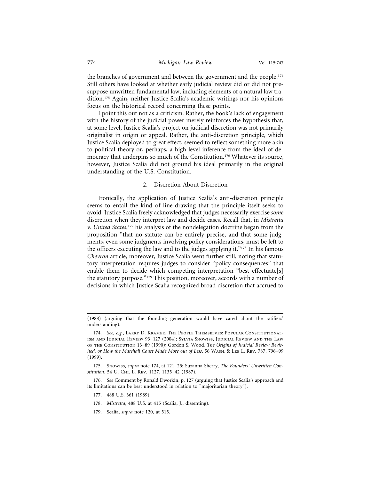the branches of government and between the government and the people.<sup>174</sup> Still others have looked at whether early judicial review did or did not presuppose unwritten fundamental law, including elements of a natural law tradition.175 Again, neither Justice Scalia's academic writings nor his opinions focus on the historical record concerning these points.

I point this out not as a criticism. Rather, the book's lack of engagement with the history of the judicial power merely reinforces the hypothesis that, at some level, Justice Scalia's project on judicial discretion was not primarily originalist in origin or appeal. Rather, the anti-discretion principle, which Justice Scalia deployed to great effect, seemed to reflect something more akin to political theory or, perhaps, a high-level inference from the ideal of democracy that underpins so much of the Constitution.176 Whatever its source, however, Justice Scalia did not ground his ideal primarily in the original understanding of the U.S. Constitution.

### 2. Discretion About Discretion

Ironically, the application of Justice Scalia's anti-discretion principle seems to entail the kind of line-drawing that the principle itself seeks to avoid. Justice Scalia freely acknowledged that judges necessarily exercise *some* discretion when they interpret law and decide cases. Recall that, in *Mistretta v. United States*, 177 his analysis of the nondelegation doctrine began from the proposition "that no statute can be entirely precise, and that some judgments, even some judgments involving policy considerations, must be left to the officers executing the law and to the judges applying it."178 In his famous *Chevron* article, moreover, Justice Scalia went further still, noting that statutory interpretation requires judges to consider "policy consequences" that enable them to decide which competing interpretation "best effectuate[s] the statutory purpose."179 This position, moreover, accords with a number of decisions in which Justice Scalia recognized broad discretion that accrued to

- 177. 488 U.S. 361 (1989).
- 178. *Mistretta*, 488 U.S. at 415 (Scalia, J., dissenting).
- 179. Scalia, *supra* note 120, at 515.

<sup>(1988) (</sup>arguing that the founding generation would have cared about the ratifiers' understanding).

<sup>174.</sup> *See, e.g.*, Larry D. Kramer, The People Themselves: Popular Constitutionalism and Judicial Review 93–127 (2004); Sylvia Snowiss, Judicial Review and the Law of the Constitution 13–89 (1990); Gordon S. Wood, *The Origins of Judicial Review Revisited, or How the Marshall Court Made More out of Less*, 56 Wash. & Lee L. Rev. 787, 796–99 (1999).

<sup>175.</sup> Snowiss, *supra* note 174, at 121–25; Suzanna Sherry, *The Founders' Unwritten Constitution*, 54 U. Chi. L. Rev. 1127, 1135–42 (1987).

<sup>176.</sup> *See* Comment by Ronald Dworkin, p. 127 (arguing that Justice Scalia's approach and its limitations can be best understood in relation to "majoritarian theory").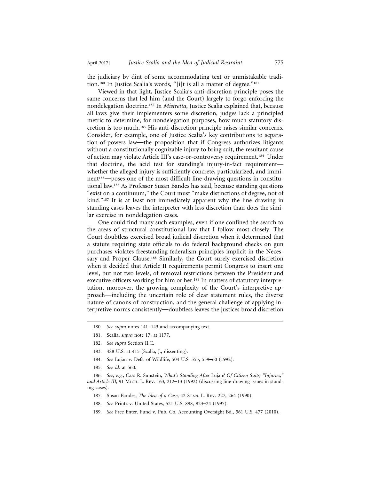the judiciary by dint of some accommodating text or unmistakable tradition.180 In Justice Scalia's words, "[i]t is all a matter of degree."181

Viewed in that light, Justice Scalia's anti-discretion principle poses the same concerns that led him (and the Court) largely to forgo enforcing the nondelegation doctrine.182 In *Mistretta*, Justice Scalia explained that, because all laws give their implementers some discretion, judges lack a principled metric to determine, for nondelegation purposes, how much statutory discretion is too much.183 His anti-discretion principle raises similar concerns. Consider, for example, one of Justice Scalia's key contributions to separation-of-powers law—the proposition that if Congress authorizes litigants without a constitutionally cognizable injury to bring suit, the resultant cause of action may violate Article III's case-or-controversy requirement.184 Under that doctrine, the acid test for standing's injury-in-fact requirement whether the alleged injury is sufficiently concrete, particularized, and imminent<sup>185</sup>—poses one of the most difficult line-drawing questions in constitutional law.186 As Professor Susan Bandes has said, because standing questions "exist on a continuum," the Court must "make distinctions of degree, not of kind."187 It is at least not immediately apparent why the line drawing in standing cases leaves the interpreter with less discretion than does the similar exercise in nondelegation cases.

One could find many such examples, even if one confined the search to the areas of structural constitutional law that I follow most closely. The Court doubtless exercised broad judicial discretion when it determined that a statute requiring state officials to do federal background checks on gun purchases violates freestanding federalism principles implicit in the Necessary and Proper Clause.<sup>188</sup> Similarly, the Court surely exercised discretion when it decided that Article II requirements permit Congress to insert one level, but not two levels, of removal restrictions between the President and executive officers working for him or her.<sup>189</sup> In matters of statutory interpretation, moreover, the growing complexity of the Court's interpretive approach—including the uncertain role of clear statement rules, the diverse nature of canons of construction, and the general challenge of applying interpretive norms consistently—doubtless leaves the justices broad discretion

- 181. Scalia, *supra* note 17, at 1177.
- 182. *See supra* Section II.C.
- 183. 488 U.S. at 415 (Scalia, J., dissenting).
- 184. *See* Lujan v. Defs. of Wildlife, 504 U.S. 555, 559–60 (1992).
- 185. *See id.* at 560.

186. *See, e.g.*, Cass R. Sunstein, *What's Standing After* Lujan*? Of Citizen Suits, "Injuries," and Article III*, 91 Mich. L. Rev. 163, 212–13 (1992) (discussing line-drawing issues in standing cases).

- 187. Susan Bandes, *The Idea of a Case*, 42 Stan. L. Rev. 227, 264 (1990).
- 188. *See* Printz v. United States, 521 U.S. 898, 923–24 (1997).
- 189. *See* Free Enter. Fund v. Pub. Co. Accounting Oversight Bd., 561 U.S. 477 (2010).

<sup>180.</sup> *See supra* notes 141–143 and accompanying text.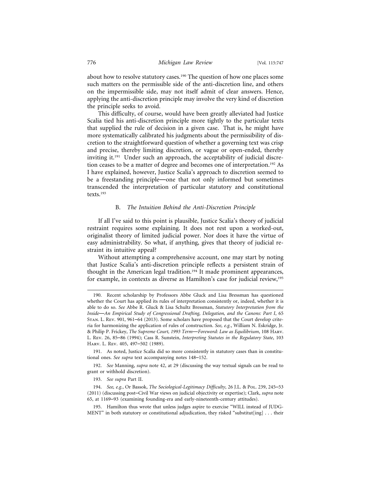about how to resolve statutory cases.<sup>190</sup> The question of how one places some such matters on the permissible side of the anti-discretion line, and others on the impermissible side, may not itself admit of clear answers. Hence, applying the anti-discretion principle may involve the very kind of discretion the principle seeks to avoid.

This difficulty, of course, would have been greatly alleviated had Justice Scalia tied his anti-discretion principle more tightly to the particular texts that supplied the rule of decision in a given case. That is, he might have more systematically calibrated his judgments about the permissibility of discretion to the straightforward question of whether a governing text was crisp and precise, thereby limiting discretion, or vague or open-ended, thereby inviting it.191 Under such an approach, the acceptability of judicial discretion ceases to be a matter of degree and becomes one of interpretation.192 As I have explained, however, Justice Scalia's approach to discretion seemed to be a freestanding principle—one that not only informed but sometimes transcended the interpretation of particular statutory and constitutional texts.193

#### B. *The Intuition Behind the Anti-Discretion Principle*

If all I've said to this point is plausible, Justice Scalia's theory of judicial restraint requires some explaining. It does not rest upon a worked-out, originalist theory of limited judicial power. Nor does it have the virtue of easy administrability. So what, if anything, gives that theory of judicial restraint its intuitive appeal?

Without attempting a comprehensive account, one may start by noting that Justice Scalia's anti-discretion principle reflects a persistent strain of thought in the American legal tradition.<sup>194</sup> It made prominent appearances, for example, in contexts as diverse as Hamilton's case for judicial review,<sup>195</sup>

191. As noted, Justice Scalia did so more consistently in statutory cases than in constitutional ones. *See supra* text accompanying notes 148–152.

192. *See* Manning, *supra* note 42, at 29 (discussing the way textual signals can be read to grant or withhold discretion).

193. *See supra* Part II.

<sup>190.</sup> Recent scholarship by Professors Abbe Gluck and Lisa Bressman has questioned whether the Court has applied its rules of interpretation consistently or, indeed, whether it is able to do so. *See* Abbe R. Gluck & Lisa Schultz Bressman, *Statutory Interpretation from the Inside*—*An Empirical Study of Congressional Drafting, Delegation, and the Canons: Part I*, 65 Stan. L. Rev. 901, 961–64 (2013). Some scholars have proposed that the Court develop criteria for harmonizing the application of rules of construction. *See, e.g.*, William N. Eskridge, Jr. & Philip P. Frickey, *The Supreme Court, 1993 Term*—*Foreword: Law as Equilibrium*, 108 Harv. L. Rev. 26, 85–86 (1994); Cass R. Sunstein, *Interpreting Statutes in the Regulatory State*, 103 Harv. L. Rev. 405, 497–502 (1989).

<sup>194.</sup> *See, e.g.*, Or Bassok, *The Sociological-Legitimacy Difficulty*, 26 J.L. & Pol. 239, 245–53 (2011) (discussing post–Civil War views on judicial objectivity or expertise); Clark, *supra* note 65, at 1169–93 (examining founding-era and early-nineteenth-century attitudes).

<sup>195.</sup> Hamilton thus wrote that unless judges aspire to exercise "WILL instead of JUDG-MENT" in both statutory or constitutional adjudication, they risked "substitut[ing] . . . their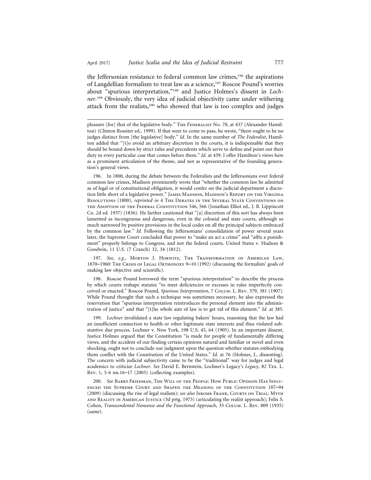the Jeffersonian resistance to federal common law crimes,<sup>196</sup> the aspirations of Langdellian formalism to treat law as a science,<sup>197</sup> Roscoe Pound's worries about "spurious interpretation,"198 and Justice Holmes's dissent in *Lochner*. 199 Obviously, the very idea of judicial objectivity came under withering attack from the realists,<sup>200</sup> who showed that law is too complex and judges

196. In 1800, during the debate between the Federalists and the Jeffersonians over federal common law crimes, Madison prominently wrote that "whether the common law be admitted as of legal or of constitutional obligation, it would confer on the judicial department a discretion little short of a legislative power." JAMES MADISON, MADISON'S REPORT ON THE VIRGINIA Resolutions (1800), *reprinted in* 4 The Debates in the Several State Conventions on the Adoption of the Federal Constitution 546, 566 (Jonathan Elliot ed., J. B. Lippincott Co. 2d ed. 1937) (1836). He farther cautioned that "[a] discretion of this sort has always been lamented as incongruous and dangerous, even in the colonial and state courts, although so much narrowed by positive provisions in the local codes on all the principal subjects embraced by the common law." *Id.* Following the Jeffersonians' consolidation of power several years later, the Supreme Court concluded that power to "make an act a crime" and "affix a punishment" properly belongs to Congress, and not the federal courts. United States v. Hudson & Goodwin, 11 U.S. (7 Cranch) 32, 34 (1812).

197. *See, e.g.*, Morton J. Horwitz, The Transformation of American Law, 1870–1960: The Crisis of Legal Orthodoxy 9–10 (1992) (discussing the formalists' goals of making law objective and scientific).

198. Roscoe Pound borrowed the term "spurious interpretation" to describe the process by which courts reshape statutes "to meet deficiencies or excesses in rules imperfectly conceived or enacted." Roscoe Pound, *Spurious Interpretation*, 7 Colum. L. Rev. 379, 381 (1907). While Pound thought that such a technique was sometimes necessary, he also expressed the reservation that "spurious interpretation reintroduces the personal element into the administration of justice" and that "[t]he whole aim of law is to get rid of this element." *Id.* at 385.

199. *Lochner* invalidated a state law regulating bakers' hours, reasoning that the law had an insufficient connection to health or other legitimate state interests and thus violated substantive due process. Lochner v. New York, 198 U.S. 45, 64 (1905). In an important dissent, Justice Holmes argued that the Constitution "is made for people of fundamentally differing views, and the accident of our finding certain opinions natural and familiar or novel and even shocking, ought not to conclude our judgment upon the question whether statutes embodying them conflict with the Constitution of the United States." *Id.* at 76 (Holmes, J., dissenting). The concern with judicial subjectivity came to be the "traditional" way for judges and legal academics to criticize *Lochner*. *See* David E. Bernstein, Lochner's Legacy*'s Legacy*, 82 Tex. L. Rev. 1, 5-6 nn.16–17 (2003) (collecting examples).

200. *See* Barry Friedman, The Will of the People: How Public Opinion Has Influenced the Supreme Court and Shaped the Meaning of the Constitution 187–94 (2009) (discussing the rise of legal realism); *see also* Jerome Frank, Courts on Trial: Myth and Reality in American Justice (3d prtg. 1973) (articulating the realist approach); Felix S. Cohen, *Transcendental Nonsense and the Functional Approach*, 35 Colum. L. Rev. 809 (1935) (same).

pleasure [for] that of the legislative body." THE FEDERALIST No. 78, at 437 (Alexander Hamilton) (Clinton Rossiter ed., 1999). If that were to come to pass, he wrote, "there ought to be no judges distinct from [the legislative] body." *Id.* In the same number of *The Federalist*, Hamilton added that "[t]o avoid an arbitrary discretion in the courts, it is indispensable that they should be bound down by strict rules and precedents which serve to define and point out their duty in every particular case that comes before them." *Id.* at 439. I offer Hamilton's views here as a prominent articulation of the theme, and not as representative of the founding generation's general views.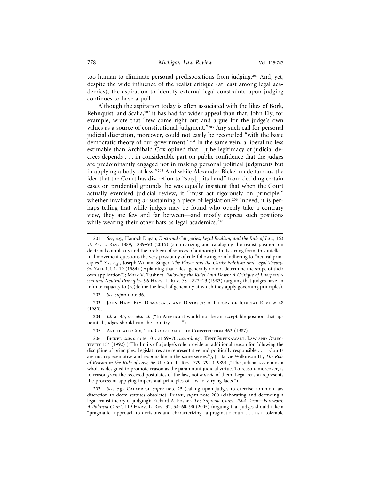too human to eliminate personal predispositions from judging.201 And, yet, despite the wide influence of the realist critique (at least among legal academics), the aspiration to identify external legal constraints upon judging continues to have a pull.

Although the aspiration today is often associated with the likes of Bork, Rehnquist, and Scalia,<sup>202</sup> it has had far wider appeal than that. John Ely, for example, wrote that "few come right out and argue for the judge's own values as a source of constitutional judgment."<sup>203</sup> Any such call for personal judicial discretion, moreover, could not easily be reconciled "with the basic democratic theory of our government."204 In the same vein, a liberal no less estimable than Archibald Cox opined that "[t]he legitimacy of judicial decrees depends . . . in considerable part on public confidence that the judges are predominantly engaged not in making personal political judgments but in applying a body of law."205 And while Alexander Bickel made famous the idea that the Court has discretion to "stay[ ] its hand" from deciding certain cases on prudential grounds, he was equally insistent that when the Court actually exercised judicial review, it "must act rigorously on principle," whether invalidating *or* sustaining a piece of legislation.<sup>206</sup> Indeed, it is perhaps telling that while judges may be found who openly take a contrary view, they are few and far between—and mostly express such positions while wearing their other hats as legal academics.<sup>207</sup>

203. John Hart Ely, Democracy and Distrust: A Theory of Judicial Review 48 (1980).

204. *Id.* at 45; *see also id.* ("In America it would not be an acceptable position that appointed judges should run the country . . . .").

205. Archibald Cox, The Court and the Constitution 362 (1987).

206. Bickel, *supra* note 101, at 69–70; *accord, e.g.*, Kent Greenawalt, Law and Objectivity 154 (1992) ("The limits of a judge's role provide an additional reason for following the discipline of principles. Legislatures are representative and politically responsible . . . . Courts are not representative and responsible in the same senses."); J. Harvie Wilkinson III, *The Role of Reason in the Rule of Law*, 56 U. Chi. L. Rev. 779, 792 (1989) ("The judicial system as a whole is designed to promote reason as the paramount judicial virtue. To reason, moreover, is to reason *from* the received postulates of the law, not *outside* of them. Legal reason represents the process of applying impersonal principles of law to varying facts.").

207. *See, e.g.*, Calabresi, *supra* note 25 (calling upon judges to exercise common law discretion to deem statutes obsolete); Frank, *supra* note 200 (elaborating and defending a legal realist theory of judging); Richard A. Posner, *The Supreme Court, 2004 Term*—*Foreword: A Political Court*, 119 Harv. L. Rev. 32, 54–60, 90 (2005) (arguing that judges should take a "pragmatic" approach to decisions and characterizing "a pragmatic court . . . as a tolerable

<sup>201.</sup> *See, e.g.*, Hanoch Dagan, *Doctrinal Categories, Legal Realism, and the Rule of Law*, 163 U. Pa. L. Rev. 1889, 1889–93 (2015) (summarizing and cataloging the realist position on doctrinal complexity and the problem of sources of authority). In its strong form, this intellectual movement questions the very possibility of rule-following or of adhering to "neutral principles." *See, e.g.*, Joseph William Singer, *The Player and the Cards: Nihilism and Legal Theory*, 94 Yale L.J. 1, 19 (1984) (explaining that rules "generally do not determine the scope of their own application"); Mark V. Tushnet, *Following the Rules Laid Down: A Critique of Interpretivism and Neutral Principles*, 96 Harv. L. Rev. 781, 822–23 (1983) (arguing that judges have an infinite capacity to (re)define the level of generality at which they apply governing principles).

<sup>202.</sup> *See supra* note 36.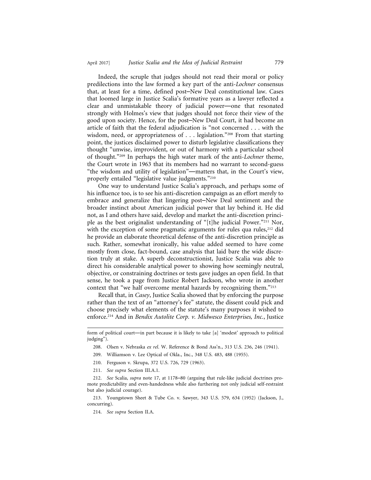Indeed, the scruple that judges should not read their moral or policy predilections into the law formed a key part of the anti-*Lochner* consensus that, at least for a time, defined post–New Deal constitutional law. Cases that loomed large in Justice Scalia's formative years as a lawyer reflected a clear and unmistakable theory of judicial power—one that resonated strongly with Holmes's view that judges should not force their view of the good upon society. Hence, for the post–New Deal Court, it had become an article of faith that the federal adjudication is "not concerned . . . with the wisdom, need, or appropriateness of . . . legislation."<sup>208</sup> From that starting point, the justices disclaimed power to disturb legislative classifications they thought "unwise, improvident, or out of harmony with a particular school of thought."209 In perhaps the high water mark of the anti-*Lochner* theme, the Court wrote in 1963 that its members had no warrant to second-guess "the wisdom and utility of legislation"—matters that, in the Court's view, properly entailed "legislative value judgments."210

One way to understand Justice Scalia's approach, and perhaps some of his influence too, is to see his anti-discretion campaign as an effort merely to embrace and generalize that lingering post–New Deal sentiment and the broader instinct about American judicial power that lay behind it. He did not, as I and others have said, develop and market the anti-discretion principle as the best originalist understanding of "[t]he judicial Power."211 Nor, with the exception of some pragmatic arguments for rules qua rules,<sup>212</sup> did he provide an elaborate theoretical defense of the anti-discretion principle as such. Rather, somewhat ironically, his value added seemed to have come mostly from close, fact-bound, case analysis that laid bare the wide discretion truly at stake. A superb deconstructionist, Justice Scalia was able to direct his considerable analytical power to showing how seemingly neutral, objective, or constraining doctrines or tests gave judges an open field. In that sense, he took a page from Justice Robert Jackson, who wrote in another context that "we half overcome mental hazards by recognizing them."213

Recall that, in *Casey*, Justice Scalia showed that by enforcing the purpose rather than the text of an "attorney's fee" statute, the dissent could pick and choose precisely what elements of the statute's many purposes it wished to enforce.214 And in *Bendix Autolite Corp. v. Midwesco Enterprises, Inc.*, Justice

- 210. Ferguson v. Skrupa, 372 U.S. 726, 729 (1963).
- 211. *See supra* Section III.A.1.

form of political court—in part because it is likely to take [a] 'modest' approach to political judging").

<sup>208.</sup> Olsen v. Nebraska *ex rel*. W. Reference & Bond Ass'n., 313 U.S. 236, 246 (1941).

<sup>209.</sup> Williamson v. Lee Optical of Okla., Inc., 348 U.S. 483, 488 (1955).

<sup>212.</sup> *See* Scalia, *supra* note 17, at 1178–80 (arguing that rule-like judicial doctrines promote predictability and even-handedness while also furthering not only judicial self-restraint but also judicial courage).

<sup>213.</sup> Youngstown Sheet & Tube Co. v. Sawyer, 343 U.S. 579, 634 (1952) (Jackson, J., concurring).

<sup>214.</sup> *See supra* Section II.A.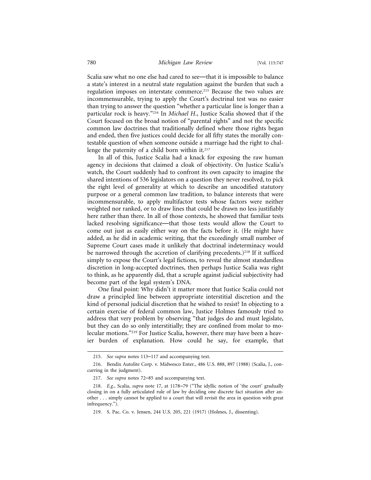Scalia saw what no one else had cared to see—that it is impossible to balance a state's interest in a neutral state regulation against the burden that such a regulation imposes on interstate commerce.215 Because the two values are incommensurable, trying to apply the Court's doctrinal test was no easier than trying to answer the question "whether a particular line is longer than a particular rock is heavy."216 In *Michael H*., Justice Scalia showed that if the Court focused on the broad notion of "parental rights" and not the specific common law doctrines that traditionally defined where those rights began and ended, then five justices could decide for all fifty states the morally contestable question of when someone outside a marriage had the right to challenge the paternity of a child born within it. $217$ 

In all of this, Justice Scalia had a knack for exposing the raw human agency in decisions that claimed a cloak of objectivity. On Justice Scalia's watch, the Court suddenly had to confront its own capacity to imagine the shared intentions of 536 legislators on a question they never resolved, to pick the right level of generality at which to describe an uncodified statutory purpose or a general common law tradition, to balance interests that were incommensurable, to apply multifactor tests whose factors were neither weighted nor ranked, or to draw lines that could be drawn no less justifiably here rather than there. In all of those contexts, he showed that familiar tests lacked resolving significance—that those tests would allow the Court to come out just as easily either way on the facts before it. (He might have added, as he did in academic writing, that the exceedingly small number of Supreme Court cases made it unlikely that doctrinal indeterminacy would be narrowed through the accretion of clarifying precedents.)<sup>218</sup> If it sufficed simply to expose the Court's legal fictions, to reveal the almost standardless discretion in long-accepted doctrines, then perhaps Justice Scalia was right to think, as he apparently did, that a scruple against judicial subjectivity had become part of the legal system's DNA.

One final point: Why didn't it matter more that Justice Scalia could not draw a principled line between appropriate interstitial discretion and the kind of personal judicial discretion that he wished to resist? In objecting to a certain exercise of federal common law, Justice Holmes famously tried to address that very problem by observing "that judges do and must legislate, but they can do so only interstitially; they are confined from molar to molecular motions."219 For Justice Scalia, however, there may have been a heavier burden of explanation. How could he say, for example, that

<sup>215.</sup> *See supra* notes 113–117 and accompanying text.

<sup>216.</sup> Bendix Autolite Corp. v. Midwesco Enter., 486 U.S. 888, 897 (1988) (Scalia, J., concurring in the judgment).

<sup>217.</sup> *See supra* notes 72–85 and accompanying text.

<sup>218.</sup> *E.g.*, Scalia, *supra* note 17, at 1178–79 ("The idyllic notion of 'the court' gradually closing in on a fully articulated rule of law by deciding one discrete fact situation after another . . . simply cannot be applied to a court that will revisit the area in question with great infrequency.").

<sup>219.</sup> S. Pac. Co. v. Jensen, 244 U.S. 205, 221 (1917) (Holmes, J., dissenting).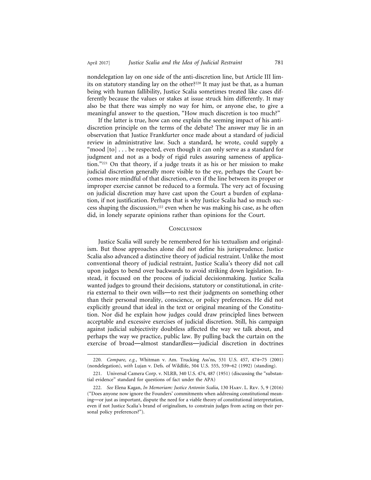nondelegation lay on one side of the anti-discretion line, but Article III limits on statutory standing lay on the other?220 It may just be that, as a human being with human fallibility, Justice Scalia sometimes treated like cases differently because the values or stakes at issue struck him differently. It may also be that there was simply no way for him, or anyone else, to give a meaningful answer to the question, "How much discretion is too much?"

If the latter is true, how can one explain the seeming impact of his antidiscretion principle on the terms of the debate? The answer may lie in an observation that Justice Frankfurter once made about a standard of judicial review in administrative law. Such a standard, he wrote, could supply a "mood [to] . . . be respected, even though it can only serve as a standard for judgment and not as a body of rigid rules assuring sameness of application."221 On that theory, if a judge treats it as his or her mission to make judicial discretion generally more visible to the eye, perhaps the Court becomes more mindful of that discretion, even if the line between its proper or improper exercise cannot be reduced to a formula. The very act of focusing on judicial discretion may have cast upon the Court a burden of explanation, if not justification. Perhaps that is why Justice Scalia had so much success shaping the discussion,<sup>222</sup> even when he was making his case, as he often did, in lonely separate opinions rather than opinions for the Court.

#### **CONCLUSION**

Justice Scalia will surely be remembered for his textualism and originalism. But those approaches alone did not define his jurisprudence. Justice Scalia also advanced a distinctive theory of judicial restraint. Unlike the most conventional theory of judicial restraint, Justice Scalia's theory did not call upon judges to bend over backwards to avoid striking down legislation. Instead, it focused on the process of judicial decisionmaking. Justice Scalia wanted judges to ground their decisions, statutory or constitutional, in criteria external to their own wills—to rest their judgments on something other than their personal morality, conscience, or policy preferences. He did not explicitly ground that ideal in the text or original meaning of the Constitution. Nor did he explain how judges could draw principled lines between acceptable and excessive exercises of judicial discretion. Still, his campaign against judicial subjectivity doubtless affected the way we talk about, and perhaps the way we practice, public law. By pulling back the curtain on the exercise of broad—almost standardless—judicial discretion in doctrines

<sup>220.</sup> *Compare, e.g.*, Whitman v. Am. Trucking Ass'ns, 531 U.S. 457, 474–75 (2001) (nondelegation), *with* Lujan v. Defs. of Wildlife, 504 U.S. 555, 559–62 (1992) (standing).

<sup>221.</sup> Universal Camera Corp. v. NLRB, 340 U.S. 474, 487 (1951) (discussing the "substantial evidence" standard for questions of fact under the APA)

<sup>222.</sup> *See* Elena Kagan, *In Memoriam: Justice Antonin Scalia*, 130 Harv. L. Rev. 5, 9 (2016) ("Does anyone now ignore the Founders' commitments when addressing constitutional meaning—or just as important, dispute the need for a viable theory of constitutional interpretation, even if not Justice Scalia's brand of originalism, to constrain judges from acting on their personal policy preferences?").